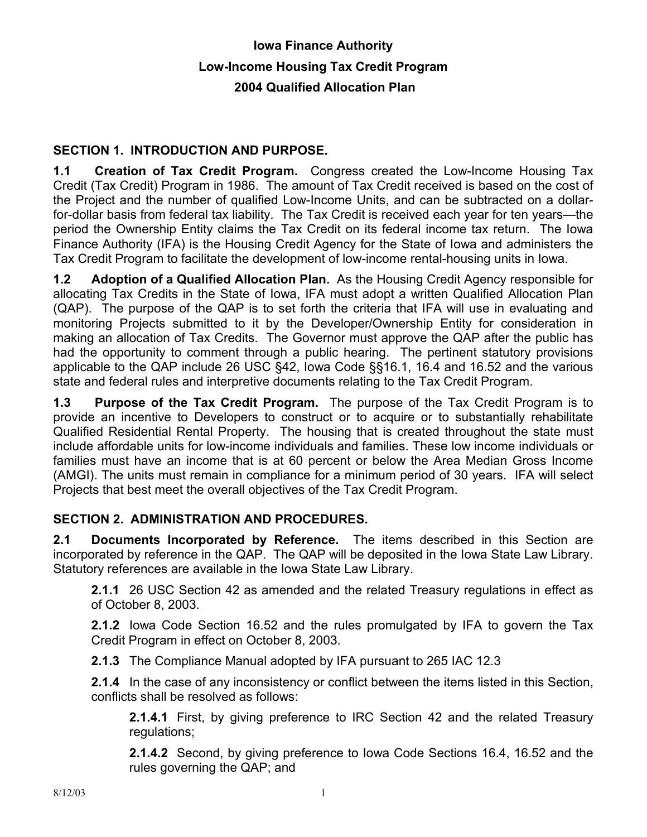# **Iowa Finance Authority Low-Income Housing Tax Credit Program 2004 Qualified Allocation Plan**

### **SECTION 1. INTRODUCTION AND PURPOSE.**

**1.1 Creation of Tax Credit Program.** Congress created the Low-Income Housing Tax Credit (Tax Credit) Program in 1986. The amount of Tax Credit received is based on the cost of the Project and the number of qualified Low-Income Units, and can be subtracted on a dollarfor-dollar basis from federal tax liability. The Tax Credit is received each year for ten years—the period the Ownership Entity claims the Tax Credit on its federal income tax return. The Iowa Finance Authority (IFA) is the Housing Credit Agency for the State of Iowa and administers the Tax Credit Program to facilitate the development of low-income rental-housing units in Iowa.

**1.2 Adoption of a Qualified Allocation Plan.** As the Housing Credit Agency responsible for allocating Tax Credits in the State of Iowa, IFA must adopt a written Qualified Allocation Plan (QAP). The purpose of the QAP is to set forth the criteria that IFA will use in evaluating and monitoring Projects submitted to it by the Developer/Ownership Entity for consideration in making an allocation of Tax Credits. The Governor must approve the QAP after the public has had the opportunity to comment through a public hearing. The pertinent statutory provisions applicable to the QAP include 26 USC §42, Iowa Code §§16.1, 16.4 and 16.52 and the various state and federal rules and interpretive documents relating to the Tax Credit Program.

**1.3 Purpose of the Tax Credit Program.** The purpose of the Tax Credit Program is to provide an incentive to Developers to construct or to acquire or to substantially rehabilitate Qualified Residential Rental Property. The housing that is created throughout the state must include affordable units for low-income individuals and families. These low income individuals or families must have an income that is at 60 percent or below the Area Median Gross Income (AMGI). The units must remain in compliance for a minimum period of 30 years. IFA will select Projects that best meet the overall objectives of the Tax Credit Program.

### **SECTION 2. ADMINISTRATION AND PROCEDURES.**

**2.1 Documents Incorporated by Reference.** The items described in this Section are incorporated by reference in the QAP. The QAP will be deposited in the Iowa State Law Library. Statutory references are available in the Iowa State Law Library.

**2.1.1** 26 USC Section 42 as amended and the related Treasury regulations in effect as of October 8, 2003.

**2.1.2** Iowa Code Section 16.52 and the rules promulgated by IFA to govern the Tax Credit Program in effect on October 8, 2003.

**2.1.3** The Compliance Manual adopted by IFA pursuant to 265 IAC 12.3

**2.1.4** In the case of any inconsistency or conflict between the items listed in this Section, conflicts shall be resolved as follows:

**2.1.4.1** First, by giving preference to IRC Section 42 and the related Treasury regulations;

**2.1.4.2** Second, by giving preference to Iowa Code Sections 16.4, 16.52 and the rules governing the QAP; and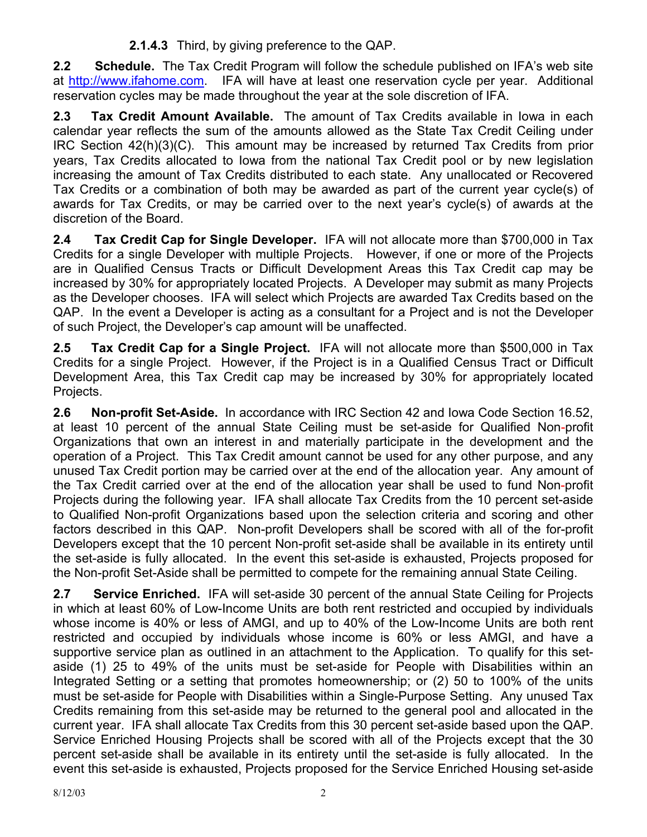**2.1.4.3** Third, by giving preference to the QAP.

**2.2 Schedule.** The Tax Credit Program will follow the schedule published on IFA's web site at http://www.ifahome.com. IFA will have at least one reservation cycle per year. Additional reservation cycles may be made throughout the year at the sole discretion of IFA.

**2.3 Tax Credit Amount Available.** The amount of Tax Credits available in Iowa in each calendar year reflects the sum of the amounts allowed as the State Tax Credit Ceiling under IRC Section 42(h)(3)(C). This amount may be increased by returned Tax Credits from prior years, Tax Credits allocated to Iowa from the national Tax Credit pool or by new legislation increasing the amount of Tax Credits distributed to each state.Any unallocated or Recovered Tax Credits or a combination of both may be awarded as part of the current year cycle(s) of awards for Tax Credits, or may be carried over to the next year's cycle(s) of awards at the discretion of the Board.

**2.4 Tax Credit Cap for Single Developer.** IFA will not allocate more than \$700,000 in Tax Credits for a single Developer with multiple Projects. However, if one or more of the Projects are in Qualified Census Tracts or Difficult Development Areas this Tax Credit cap may be increased by 30% for appropriately located Projects. A Developer may submit as many Projects as the Developer chooses. IFA will select which Projects are awarded Tax Credits based on the QAP. In the event a Developer is acting as a consultant for a Project and is not the Developer of such Project, the Developer's cap amount will be unaffected.

**2.5 Tax Credit Cap for a Single Project.** IFA will not allocate more than \$500,000 in Tax Credits for a single Project. However, if the Project is in a Qualified Census Tract or Difficult Development Area, this Tax Credit cap may be increased by 30% for appropriately located Projects.

**2.6 Non-profit Set-Aside.** In accordance with IRC Section 42 and Iowa Code Section 16.52, at least 10 percent of the annual State Ceiling must be set-aside for Qualified Non-profit Organizations that own an interest in and materially participate in the development and the operation of a Project. This Tax Credit amount cannot be used for any other purpose, and any unused Tax Credit portion may be carried over at the end of the allocation year. Any amount of the Tax Credit carried over at the end of the allocation year shall be used to fund Non-profit Projects during the following year. IFA shall allocate Tax Credits from the 10 percent set-aside to Qualified Non-profit Organizations based upon the selection criteria and scoring and other factors described in this QAP. Non-profit Developers shall be scored with all of the for-profit Developers except that the 10 percent Non-profit set-aside shall be available in its entirety until the set-aside is fully allocated. In the event this set-aside is exhausted, Projects proposed for the Non-profit Set-Aside shall be permitted to compete for the remaining annual State Ceiling.

**2.7 Service Enriched.** IFA will set-aside 30 percent of the annual State Ceiling for Projects in which at least 60% of Low-Income Units are both rent restricted and occupied by individuals whose income is 40% or less of AMGI, and up to 40% of the Low-Income Units are both rent restricted and occupied by individuals whose income is 60% or less AMGI, and have a supportive service plan as outlined in an attachment to the Application. To qualify for this setaside (1) 25 to 49% of the units must be set-aside for People with Disabilities within an Integrated Setting or a setting that promotes homeownership; or (2) 50 to 100% of the units must be set-aside for People with Disabilities within a Single-Purpose Setting. Any unused Tax Credits remaining from this set-aside may be returned to the general pool and allocated in the current year. IFA shall allocate Tax Credits from this 30 percent set-aside based upon the QAP. Service Enriched Housing Projects shall be scored with all of the Projects except that the 30 percent set-aside shall be available in its entirety until the set-aside is fully allocated. In the event this set-aside is exhausted, Projects proposed for the Service Enriched Housing set-aside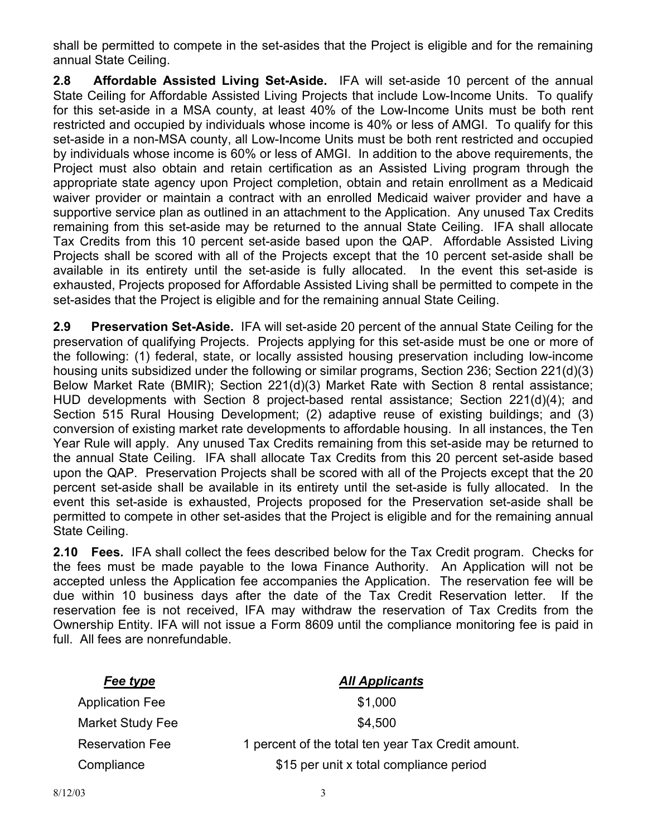shall be permitted to compete in the set-asides that the Project is eligible and for the remaining annual State Ceiling.

**2.8 Affordable Assisted Living Set-Aside.** IFA will set-aside 10 percent of the annual State Ceiling for Affordable Assisted Living Projects that include Low-Income Units. To qualify for this set-aside in a MSA county, at least 40% of the Low-Income Units must be both rent restricted and occupied by individuals whose income is 40% or less of AMGI. To qualify for this set-aside in a non-MSA county, all Low-Income Units must be both rent restricted and occupied by individuals whose income is 60% or less of AMGI. In addition to the above requirements, the Project must also obtain and retain certification as an Assisted Living program through the appropriate state agency upon Project completion, obtain and retain enrollment as a Medicaid waiver provider or maintain a contract with an enrolled Medicaid waiver provider and have a supportive service plan as outlined in an attachment to the Application. Any unused Tax Credits remaining from this set-aside may be returned to the annual State Ceiling. IFA shall allocate Tax Credits from this 10 percent set-aside based upon the QAP. Affordable Assisted Living Projects shall be scored with all of the Projects except that the 10 percent set-aside shall be available in its entirety until the set-aside is fully allocated. In the event this set-aside is exhausted, Projects proposed for Affordable Assisted Living shall be permitted to compete in the set-asides that the Project is eligible and for the remaining annual State Ceiling.

**2.9 Preservation Set-Aside.** IFA will set-aside 20 percent of the annual State Ceiling for the preservation of qualifying Projects. Projects applying for this set-aside must be one or more of the following: (1) federal, state, or locally assisted housing preservation including low-income housing units subsidized under the following or similar programs, Section 236; Section 221(d)(3) Below Market Rate (BMIR); Section 221(d)(3) Market Rate with Section 8 rental assistance; HUD developments with Section 8 project-based rental assistance; Section 221(d)(4); and Section 515 Rural Housing Development; (2) adaptive reuse of existing buildings; and (3) conversion of existing market rate developments to affordable housing. In all instances, the Ten Year Rule will apply. Any unused Tax Credits remaining from this set-aside may be returned to the annual State Ceiling. IFA shall allocate Tax Credits from this 20 percent set-aside based upon the QAP. Preservation Projects shall be scored with all of the Projects except that the 20 percent set-aside shall be available in its entirety until the set-aside is fully allocated. In the event this set-aside is exhausted, Projects proposed for the Preservation set-aside shall be permitted to compete in other set-asides that the Project is eligible and for the remaining annual State Ceiling.

**2.10 Fees.** IFA shall collect the fees described below for the Tax Credit program. Checks for the fees must be made payable to the Iowa Finance Authority. An Application will not be accepted unless the Application fee accompanies the Application. The reservation fee will be due within 10 business days after the date of the Tax Credit Reservation letter. If the reservation fee is not received, IFA may withdraw the reservation of Tax Credits from the Ownership Entity. IFA will not issue a Form 8609 until the compliance monitoring fee is paid in full. All fees are nonrefundable.

| Fee type               | <b>All Applicants</b>                              |
|------------------------|----------------------------------------------------|
| <b>Application Fee</b> | \$1,000                                            |
| Market Study Fee       | \$4,500                                            |
| <b>Reservation Fee</b> | 1 percent of the total ten year Tax Credit amount. |
| Compliance             | \$15 per unit x total compliance period            |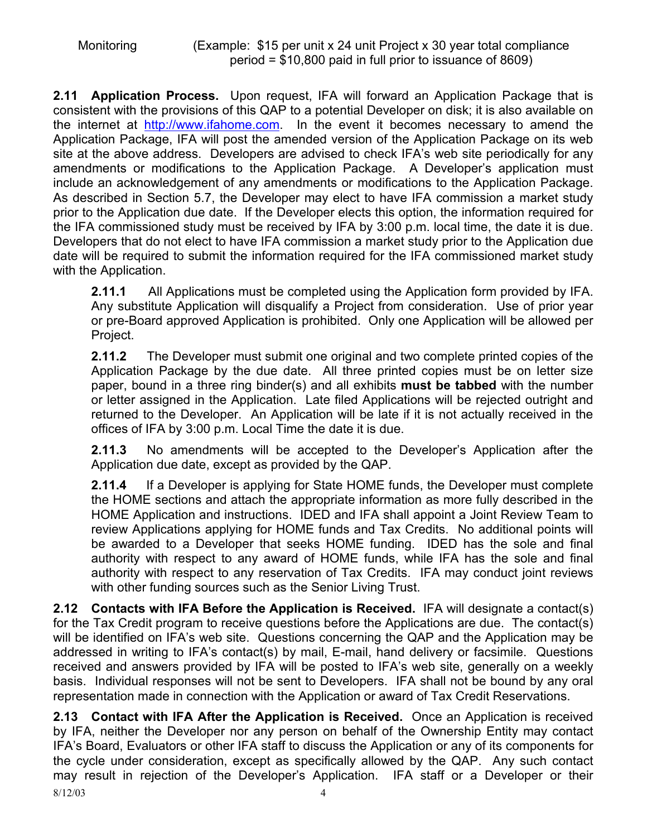**2.11 Application Process.** Upon request, IFA will forward an Application Package that is consistent with the provisions of this QAP to a potential Developer on disk; it is also available on the internet at http://www.ifahome.com. In the event it becomes necessary to amend the Application Package, IFA will post the amended version of the Application Package on its web site at the above address. Developers are advised to check IFA's web site periodically for any amendments or modifications to the Application Package. A Developer's application must include an acknowledgement of any amendments or modifications to the Application Package. As described in Section 5.7, the Developer may elect to have IFA commission a market study prior to the Application due date. If the Developer elects this option, the information required for the IFA commissioned study must be received by IFA by 3:00 p.m. local time, the date it is due. Developers that do not elect to have IFA commission a market study prior to the Application due date will be required to submit the information required for the IFA commissioned market study with the Application.

**2.11.1** All Applications must be completed using the Application form provided by IFA. Any substitute Application will disqualify a Project from consideration. Use of prior year or pre-Board approved Application is prohibited. Only one Application will be allowed per Project.

**2.11.2** The Developer must submit one original and two complete printed copies of the Application Package by the due date. All three printed copies must be on letter size paper, bound in a three ring binder(s) and all exhibits **must be tabbed** with the number or letter assigned in the Application. Late filed Applications will be rejected outright and returned to the Developer. An Application will be late if it is not actually received in the offices of IFA by 3:00 p.m. Local Time the date it is due.

**2.11.3** No amendments will be accepted to the Developer's Application after the Application due date, except as provided by the QAP.

**2.11.4** If a Developer is applying for State HOME funds, the Developer must complete the HOME sections and attach the appropriate information as more fully described in the HOME Application and instructions. IDED and IFA shall appoint a Joint Review Team to review Applications applying for HOME funds and Tax Credits. No additional points will be awarded to a Developer that seeks HOME funding. IDED has the sole and final authority with respect to any award of HOME funds, while IFA has the sole and final authority with respect to any reservation of Tax Credits. IFA may conduct joint reviews with other funding sources such as the Senior Living Trust.

**2.12 Contacts with IFA Before the Application is Received.** IFA will designate a contact(s) for the Tax Credit program to receive questions before the Applications are due. The contact(s) will be identified on IFA's web site. Questions concerning the QAP and the Application may be addressed in writing to IFA's contact(s) by mail, E-mail, hand delivery or facsimile. Questions received and answers provided by IFA will be posted to IFA's web site, generally on a weekly basis. Individual responses will not be sent to Developers. IFA shall not be bound by any oral representation made in connection with the Application or award of Tax Credit Reservations.

8/12/03 4 **2.13 Contact with IFA After the Application is Received.** Once an Application is received by IFA, neither the Developer nor any person on behalf of the Ownership Entity may contact IFA's Board, Evaluators or other IFA staff to discuss the Application or any of its components for the cycle under consideration, except as specifically allowed by the QAP. Any such contact may result in rejection of the Developer's Application. IFA staff or a Developer or their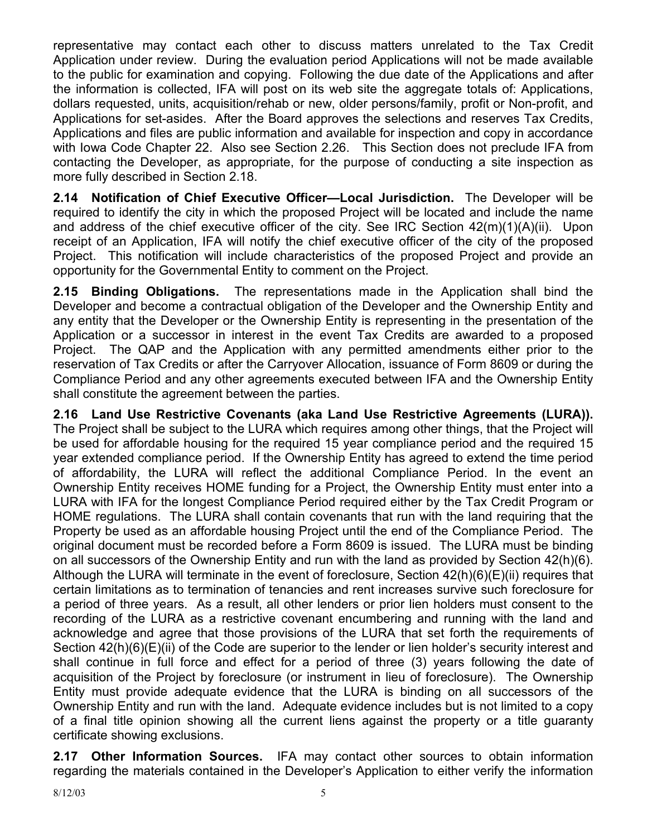representative may contact each other to discuss matters unrelated to the Tax Credit Application under review. During the evaluation period Applications will not be made available to the public for examination and copying. Following the due date of the Applications and after the information is collected, IFA will post on its web site the aggregate totals of: Applications, dollars requested, units, acquisition/rehab or new, older persons/family, profit or Non-profit, and Applications for set-asides. After the Board approves the selections and reserves Tax Credits, Applications and files are public information and available for inspection and copy in accordance with Iowa Code Chapter 22. Also see Section 2.26. This Section does not preclude IFA from contacting the Developer, as appropriate, for the purpose of conducting a site inspection as more fully described in Section 2.18.

**2.14 Notification of Chief Executive Officer—Local Jurisdiction.** The Developer will be required to identify the city in which the proposed Project will be located and include the name and address of the chief executive officer of the city. See IRC Section 42(m)(1)(A)(ii). Upon receipt of an Application, IFA will notify the chief executive officer of the city of the proposed Project. This notification will include characteristics of the proposed Project and provide an opportunity for the Governmental Entity to comment on the Project.

**2.15 Binding Obligations.** The representations made in the Application shall bind the Developer and become a contractual obligation of the Developer and the Ownership Entity and any entity that the Developer or the Ownership Entity is representing in the presentation of the Application or a successor in interest in the event Tax Credits are awarded to a proposed Project. The QAP and the Application with any permitted amendments either prior to the reservation of Tax Credits or after the Carryover Allocation, issuance of Form 8609 or during the Compliance Period and any other agreements executed between IFA and the Ownership Entity shall constitute the agreement between the parties.

**2.16 Land Use Restrictive Covenants (aka Land Use Restrictive Agreements (LURA)).** The Project shall be subject to the LURA which requires among other things, that the Project will be used for affordable housing for the required 15 year compliance period and the required 15 year extended compliance period. If the Ownership Entity has agreed to extend the time period of affordability, the LURA will reflect the additional Compliance Period. In the event an Ownership Entity receives HOME funding for a Project, the Ownership Entity must enter into a LURA with IFA for the longest Compliance Period required either by the Tax Credit Program or HOME regulations. The LURA shall contain covenants that run with the land requiring that the Property be used as an affordable housing Project until the end of the Compliance Period. The original document must be recorded before a Form 8609 is issued. The LURA must be binding on all successors of the Ownership Entity and run with the land as provided by Section 42(h)(6). Although the LURA will terminate in the event of foreclosure, Section 42(h)(6)(E)(ii) requires that certain limitations as to termination of tenancies and rent increases survive such foreclosure for a period of three years. As a result, all other lenders or prior lien holders must consent to the recording of the LURA as a restrictive covenant encumbering and running with the land and acknowledge and agree that those provisions of the LURA that set forth the requirements of Section 42(h)(6)(E)(ii) of the Code are superior to the lender or lien holder's security interest and shall continue in full force and effect for a period of three (3) years following the date of acquisition of the Project by foreclosure (or instrument in lieu of foreclosure). The Ownership Entity must provide adequate evidence that the LURA is binding on all successors of the Ownership Entity and run with the land. Adequate evidence includes but is not limited to a copy of a final title opinion showing all the current liens against the property or a title guaranty certificate showing exclusions.

**2.17 Other Information Sources.** IFA may contact other sources to obtain information regarding the materials contained in the Developer's Application to either verify the information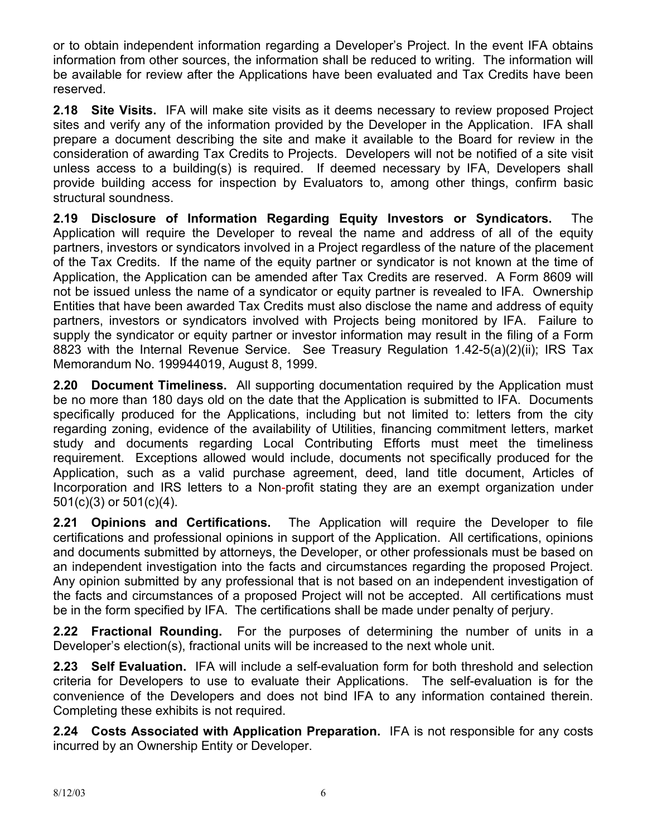or to obtain independent information regarding a Developer's Project. In the event IFA obtains information from other sources, the information shall be reduced to writing. The information will be available for review after the Applications have been evaluated and Tax Credits have been reserved.

**2.18 Site Visits.** IFA will make site visits as it deems necessary to review proposed Project sites and verify any of the information provided by the Developer in the Application. IFA shall prepare a document describing the site and make it available to the Board for review in the consideration of awarding Tax Credits to Projects. Developers will not be notified of a site visit unless access to a building(s) is required. If deemed necessary by IFA, Developers shall provide building access for inspection by Evaluators to, among other things, confirm basic structural soundness.

**2.19 Disclosure of Information Regarding Equity Investors or Syndicators.** The Application will require the Developer to reveal the name and address of all of the equity partners, investors or syndicators involved in a Project regardless of the nature of the placement of the Tax Credits. If the name of the equity partner or syndicator is not known at the time of Application, the Application can be amended after Tax Credits are reserved. A Form 8609 will not be issued unless the name of a syndicator or equity partner is revealed to IFA. Ownership Entities that have been awarded Tax Credits must also disclose the name and address of equity partners, investors or syndicators involved with Projects being monitored by IFA. Failure to supply the syndicator or equity partner or investor information may result in the filing of a Form 8823 with the Internal Revenue Service. See Treasury Regulation 1.42-5(a)(2)(ii); IRS Tax Memorandum No. 199944019, August 8, 1999.

**2.20 Document Timeliness.** All supporting documentation required by the Application must be no more than 180 days old on the date that the Application is submitted to IFA. Documents specifically produced for the Applications, including but not limited to: letters from the city regarding zoning, evidence of the availability of Utilities, financing commitment letters, market study and documents regarding Local Contributing Efforts must meet the timeliness requirement. Exceptions allowed would include, documents not specifically produced for the Application, such as a valid purchase agreement, deed, land title document, Articles of Incorporation and IRS letters to a Non-profit stating they are an exempt organization under 501(c)(3) or 501(c)(4).

**2.21 Opinions and Certifications.** The Application will require the Developer to file certifications and professional opinions in support of the Application. All certifications, opinions and documents submitted by attorneys, the Developer, or other professionals must be based on an independent investigation into the facts and circumstances regarding the proposed Project. Any opinion submitted by any professional that is not based on an independent investigation of the facts and circumstances of a proposed Project will not be accepted. All certifications must be in the form specified by IFA. The certifications shall be made under penalty of perjury.

**2.22 Fractional Rounding.** For the purposes of determining the number of units in a Developer's election(s), fractional units will be increased to the next whole unit.

**2.23 Self Evaluation.** IFA will include a self-evaluation form for both threshold and selection criteria for Developers to use to evaluate their Applications. The self-evaluation is for the convenience of the Developers and does not bind IFA to any information contained therein. Completing these exhibits is not required.

**2.24 Costs Associated with Application Preparation.** IFA is not responsible for any costs incurred by an Ownership Entity or Developer.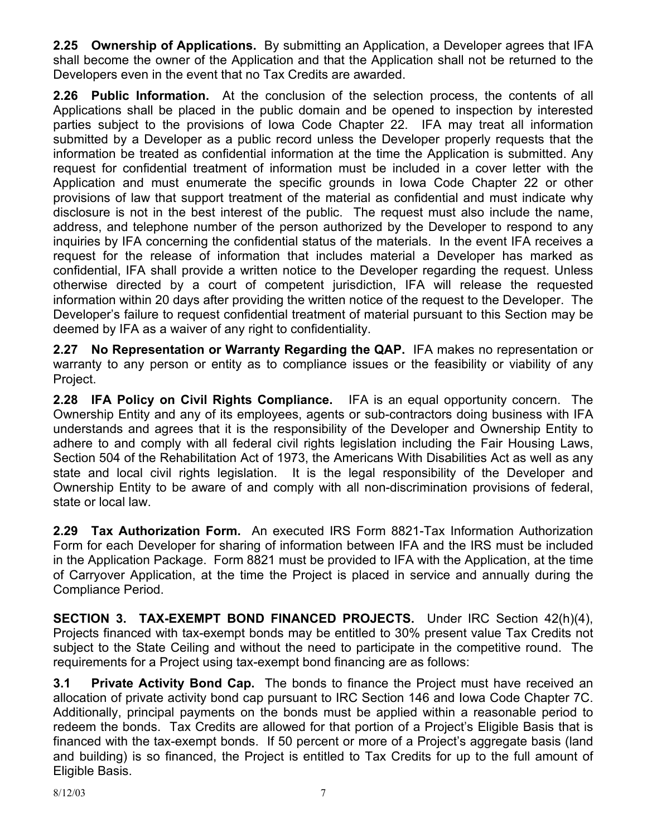**2.25 Ownership of Applications.** By submitting an Application, a Developer agrees that IFA shall become the owner of the Application and that the Application shall not be returned to the Developers even in the event that no Tax Credits are awarded.

**2.26 Public Information.** At the conclusion of the selection process, the contents of all Applications shall be placed in the public domain and be opened to inspection by interested parties subject to the provisions of Iowa Code Chapter 22. IFA may treat all information submitted by a Developer as a public record unless the Developer properly requests that the information be treated as confidential information at the time the Application is submitted. Any request for confidential treatment of information must be included in a cover letter with the Application and must enumerate the specific grounds in Iowa Code Chapter 22 or other provisions of law that support treatment of the material as confidential and must indicate why disclosure is not in the best interest of the public. The request must also include the name, address, and telephone number of the person authorized by the Developer to respond to any inquiries by IFA concerning the confidential status of the materials. In the event IFA receives a request for the release of information that includes material a Developer has marked as confidential, IFA shall provide a written notice to the Developer regarding the request. Unless otherwise directed by a court of competent jurisdiction, IFA will release the requested information within 20 days after providing the written notice of the request to the Developer. The Developer's failure to request confidential treatment of material pursuant to this Section may be deemed by IFA as a waiver of any right to confidentiality.

**2.27 No Representation or Warranty Regarding the QAP.** IFA makes no representation or warranty to any person or entity as to compliance issues or the feasibility or viability of any Project.

**2.28 IFA Policy on Civil Rights Compliance.** IFA is an equal opportunity concern. The Ownership Entity and any of its employees, agents or sub-contractors doing business with IFA understands and agrees that it is the responsibility of the Developer and Ownership Entity to adhere to and comply with all federal civil rights legislation including the Fair Housing Laws, Section 504 of the Rehabilitation Act of 1973, the Americans With Disabilities Act as well as any state and local civil rights legislation. It is the legal responsibility of the Developer and Ownership Entity to be aware of and comply with all non-discrimination provisions of federal, state or local law.

**2.29 Tax Authorization Form.** An executed IRS Form 8821-Tax Information Authorization Form for each Developer for sharing of information between IFA and the IRS must be included in the Application Package. Form 8821 must be provided to IFA with the Application, at the time of Carryover Application, at the time the Project is placed in service and annually during the Compliance Period.

**SECTION 3. TAX-EXEMPT BOND FINANCED PROJECTS.** Under IRC Section 42(h)(4), Projects financed with tax-exempt bonds may be entitled to 30% present value Tax Credits not subject to the State Ceiling and without the need to participate in the competitive round. The requirements for a Project using tax-exempt bond financing are as follows:

**3.1 Private Activity Bond Cap.** The bonds to finance the Project must have received an allocation of private activity bond cap pursuant to IRC Section 146 and Iowa Code Chapter 7C. Additionally, principal payments on the bonds must be applied within a reasonable period to redeem the bonds. Tax Credits are allowed for that portion of a Project's Eligible Basis that is financed with the tax-exempt bonds. If 50 percent or more of a Project's aggregate basis (land and building) is so financed, the Project is entitled to Tax Credits for up to the full amount of Eligible Basis.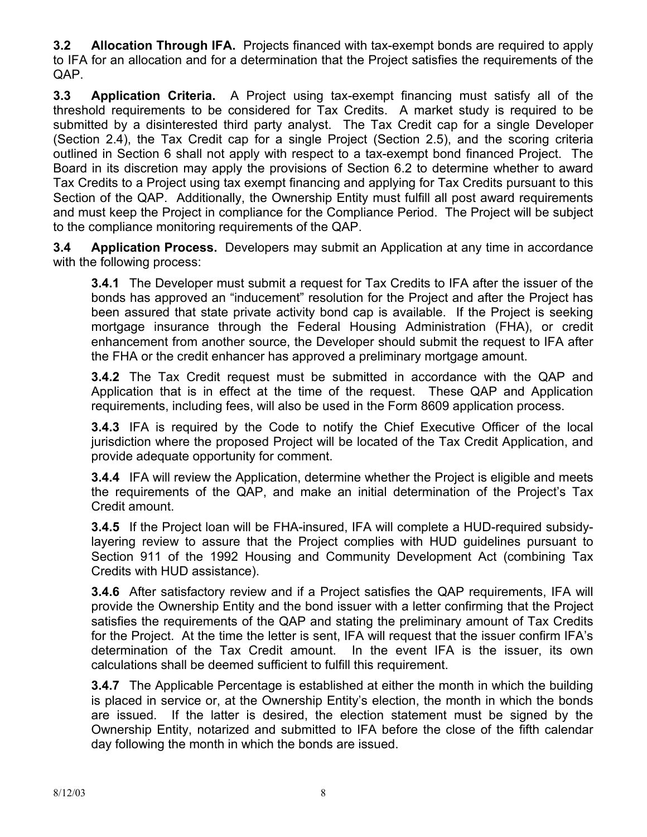**3.2 Allocation Through IFA.** Projects financed with tax-exempt bonds are required to apply to IFA for an allocation and for a determination that the Project satisfies the requirements of the QAP.

**3.3 Application Criteria.** A Project using tax-exempt financing must satisfy all of the threshold requirements to be considered for Tax Credits. A market study is required to be submitted by a disinterested third party analyst. The Tax Credit cap for a single Developer (Section 2.4), the Tax Credit cap for a single Project (Section 2.5), and the scoring criteria outlined in Section 6 shall not apply with respect to a tax-exempt bond financed Project. The Board in its discretion may apply the provisions of Section 6.2 to determine whether to award Tax Credits to a Project using tax exempt financing and applying for Tax Credits pursuant to this Section of the QAP. Additionally, the Ownership Entity must fulfill all post award requirements and must keep the Project in compliance for the Compliance Period. The Project will be subject to the compliance monitoring requirements of the QAP.

**3.4 Application Process.** Developers may submit an Application at any time in accordance with the following process:

**3.4.1** The Developer must submit a request for Tax Credits to IFA after the issuer of the bonds has approved an "inducement" resolution for the Project and after the Project has been assured that state private activity bond cap is available. If the Project is seeking mortgage insurance through the Federal Housing Administration (FHA), or credit enhancement from another source, the Developer should submit the request to IFA after the FHA or the credit enhancer has approved a preliminary mortgage amount.

**3.4.2** The Tax Credit request must be submitted in accordance with the QAP and Application that is in effect at the time of the request. These QAP and Application requirements, including fees, will also be used in the Form 8609 application process.

**3.4.3** IFA is required by the Code to notify the Chief Executive Officer of the local jurisdiction where the proposed Project will be located of the Tax Credit Application, and provide adequate opportunity for comment.

**3.4.4** IFA will review the Application, determine whether the Project is eligible and meets the requirements of the QAP, and make an initial determination of the Project's Tax Credit amount.

**3.4.5** If the Project loan will be FHA-insured, IFA will complete a HUD-required subsidylayering review to assure that the Project complies with HUD guidelines pursuant to Section 911 of the 1992 Housing and Community Development Act (combining Tax Credits with HUD assistance).

**3.4.6** After satisfactory review and if a Project satisfies the QAP requirements, IFA will provide the Ownership Entity and the bond issuer with a letter confirming that the Project satisfies the requirements of the QAP and stating the preliminary amount of Tax Credits for the Project. At the time the letter is sent, IFA will request that the issuer confirm IFA's determination of the Tax Credit amount. In the event IFA is the issuer, its own calculations shall be deemed sufficient to fulfill this requirement.

**3.4.7** The Applicable Percentage is established at either the month in which the building is placed in service or, at the Ownership Entity's election, the month in which the bonds are issued. If the latter is desired, the election statement must be signed by the Ownership Entity, notarized and submitted to IFA before the close of the fifth calendar day following the month in which the bonds are issued.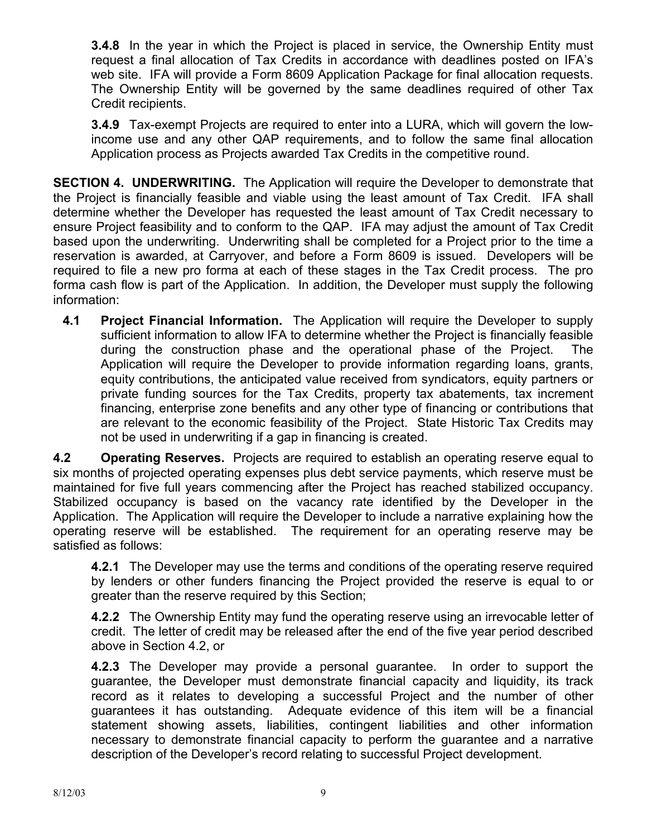**3.4.8** In the year in which the Project is placed in service, the Ownership Entity must request a final allocation of Tax Credits in accordance with deadlines posted on IFA's web site. IFA will provide a Form 8609 Application Package for final allocation requests. The Ownership Entity will be governed by the same deadlines required of other Tax Credit recipients.

**3.4.9** Tax-exempt Projects are required to enter into a LURA, which will govern the lowincome use and any other QAP requirements, and to follow the same final allocation Application process as Projects awarded Tax Credits in the competitive round.

**SECTION 4. UNDERWRITING.** The Application will require the Developer to demonstrate that the Project is financially feasible and viable using the least amount of Tax Credit. IFA shall determine whether the Developer has requested the least amount of Tax Credit necessary to ensure Project feasibility and to conform to the QAP. IFA may adjust the amount of Tax Credit based upon the underwriting. Underwriting shall be completed for a Project prior to the time a reservation is awarded, at Carryover, and before a Form 8609 is issued. Developers will be required to file a new pro forma at each of these stages in the Tax Credit process. The pro forma cash flow is part of the Application. In addition, the Developer must supply the following information:

**4.1 Project Financial Information.** The Application will require the Developer to supply sufficient information to allow IFA to determine whether the Project is financially feasible during the construction phase and the operational phase of the Project. The Application will require the Developer to provide information regarding loans, grants, equity contributions, the anticipated value received from syndicators, equity partners or private funding sources for the Tax Credits, property tax abatements, tax increment financing, enterprise zone benefits and any other type of financing or contributions that are relevant to the economic feasibility of the Project. State Historic Tax Credits may not be used in underwriting if a gap in financing is created.

**4.2 Operating Reserves.** Projects are required to establish an operating reserve equal to six months of projected operating expenses plus debt service payments, which reserve must be maintained for five full years commencing after the Project has reached stabilized occupancy. Stabilized occupancy is based on the vacancy rate identified by the Developer in the Application. The Application will require the Developer to include a narrative explaining how the operating reserve will be established. The requirement for an operating reserve may be satisfied as follows:

**4.2.1** The Developer may use the terms and conditions of the operating reserve required by lenders or other funders financing the Project provided the reserve is equal to or greater than the reserve required by this Section;

**4.2.2** The Ownership Entity may fund the operating reserve using an irrevocable letter of credit. The letter of credit may be released after the end of the five year period described above in Section 4.2, or

**4.2.3** The Developer may provide a personal guarantee. In order to support the guarantee, the Developer must demonstrate financial capacity and liquidity, its track record as it relates to developing a successful Project and the number of other guarantees it has outstanding. Adequate evidence of this item will be a financial statement showing assets, liabilities, contingent liabilities and other information necessary to demonstrate financial capacity to perform the guarantee and a narrative description of the Developer's record relating to successful Project development.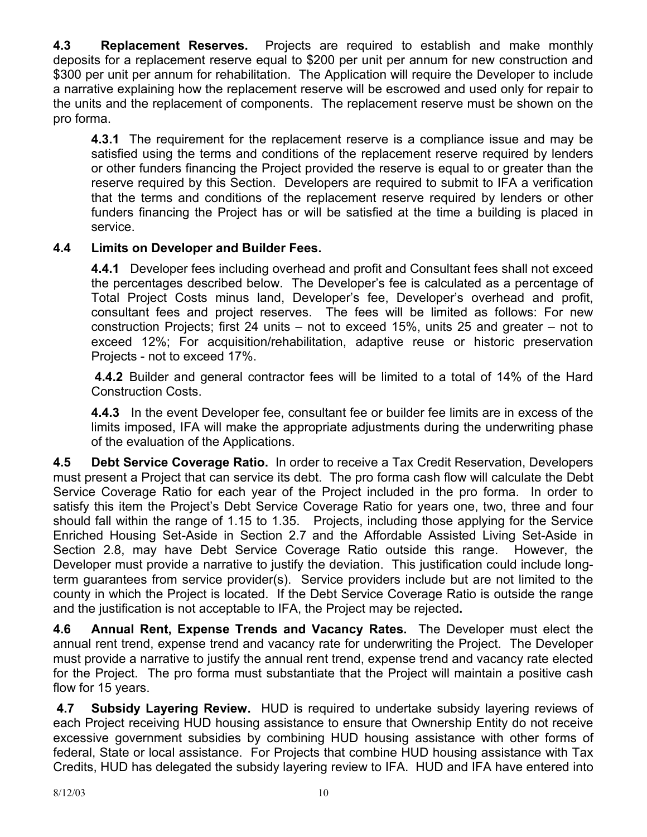**4.3 Replacement Reserves.** Projects are required to establish and make monthly deposits for a replacement reserve equal to \$200 per unit per annum for new construction and \$300 per unit per annum for rehabilitation. The Application will require the Developer to include a narrative explaining how the replacement reserve will be escrowed and used only for repair to the units and the replacement of components. The replacement reserve must be shown on the pro forma.

**4.3.1** The requirement for the replacement reserve is a compliance issue and may be satisfied using the terms and conditions of the replacement reserve required by lenders or other funders financing the Project provided the reserve is equal to or greater than the reserve required by this Section. Developers are required to submit to IFA a verification that the terms and conditions of the replacement reserve required by lenders or other funders financing the Project has or will be satisfied at the time a building is placed in service.

## **4.4 Limits on Developer and Builder Fees.**

**4.4.1** Developer fees including overhead and profit and Consultant fees shall not exceed the percentages described below. The Developer's fee is calculated as a percentage of Total Project Costs minus land, Developer's fee, Developer's overhead and profit, consultant fees and project reserves. The fees will be limited as follows: For new construction Projects; first 24 units – not to exceed 15%, units 25 and greater – not to exceed 12%; For acquisition/rehabilitation, adaptive reuse or historic preservation Projects - not to exceed 17%.

**4.4.2** Builder and general contractor fees will be limited to a total of 14% of the Hard Construction Costs.

**4.4.3** In the event Developer fee, consultant fee or builder fee limits are in excess of the limits imposed, IFA will make the appropriate adjustments during the underwriting phase of the evaluation of the Applications.

**4.5 Debt Service Coverage Ratio.** In order to receive a Tax Credit Reservation, Developers must present a Project that can service its debt. The pro forma cash flow will calculate the Debt Service Coverage Ratio for each year of the Project included in the pro forma. In order to satisfy this item the Project's Debt Service Coverage Ratio for years one, two, three and four should fall within the range of 1.15 to 1.35. Projects, including those applying for the Service Enriched Housing Set-Aside in Section 2.7 and the Affordable Assisted Living Set-Aside in Section 2.8, may have Debt Service Coverage Ratio outside this range. However, the Developer must provide a narrative to justify the deviation. This justification could include longterm guarantees from service provider(s). Service providers include but are not limited to the county in which the Project is located. If the Debt Service Coverage Ratio is outside the range and the justification is not acceptable to IFA, the Project may be rejected**.** 

**4.6 Annual Rent, Expense Trends and Vacancy Rates.** The Developer must elect the annual rent trend, expense trend and vacancy rate for underwriting the Project. The Developer must provide a narrative to justify the annual rent trend, expense trend and vacancy rate elected for the Project. The pro forma must substantiate that the Project will maintain a positive cash flow for 15 years.

**4.7 Subsidy Layering Review.** HUD is required to undertake subsidy layering reviews of each Project receiving HUD housing assistance to ensure that Ownership Entity do not receive excessive government subsidies by combining HUD housing assistance with other forms of federal, State or local assistance. For Projects that combine HUD housing assistance with Tax Credits, HUD has delegated the subsidy layering review to IFA. HUD and IFA have entered into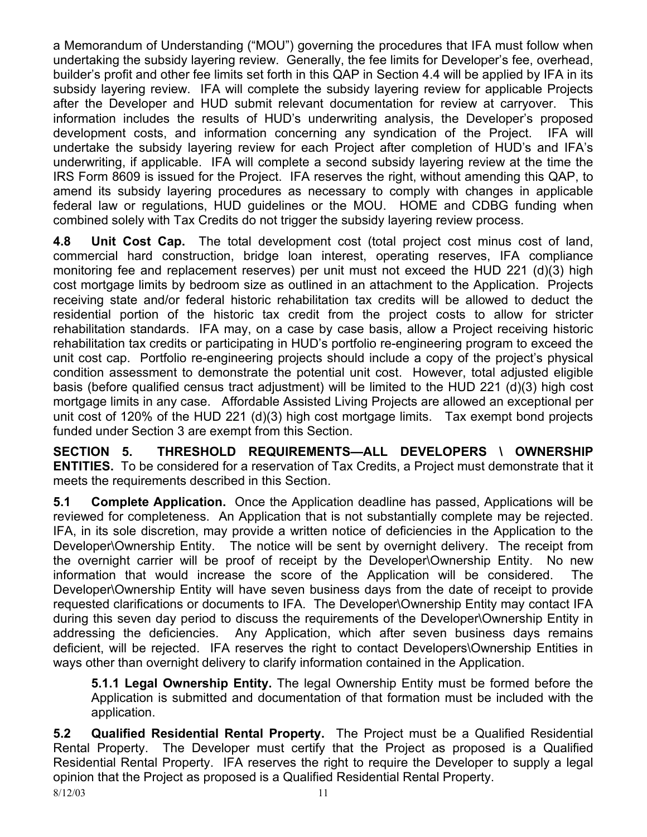a Memorandum of Understanding ("MOU") governing the procedures that IFA must follow when undertaking the subsidy layering review. Generally, the fee limits for Developer's fee, overhead, builder's profit and other fee limits set forth in this QAP in Section 4.4 will be applied by IFA in its subsidy layering review. IFA will complete the subsidy layering review for applicable Projects after the Developer and HUD submit relevant documentation for review at carryover. This information includes the results of HUD's underwriting analysis, the Developer's proposed development costs, and information concerning any syndication of the Project. IFA will undertake the subsidy layering review for each Project after completion of HUD's and IFA's underwriting, if applicable. IFA will complete a second subsidy layering review at the time the IRS Form 8609 is issued for the Project. IFA reserves the right, without amending this QAP, to amend its subsidy layering procedures as necessary to comply with changes in applicable federal law or regulations, HUD guidelines or the MOU. HOME and CDBG funding when combined solely with Tax Credits do not trigger the subsidy layering review process.

**4.8 Unit Cost Cap.** The total development cost (total project cost minus cost of land, commercial hard construction, bridge loan interest, operating reserves, IFA compliance monitoring fee and replacement reserves) per unit must not exceed the HUD 221 (d)(3) high cost mortgage limits by bedroom size as outlined in an attachment to the Application. Projects receiving state and/or federal historic rehabilitation tax credits will be allowed to deduct the residential portion of the historic tax credit from the project costs to allow for stricter rehabilitation standards. IFA may, on a case by case basis, allow a Project receiving historic rehabilitation tax credits or participating in HUD's portfolio re-engineering program to exceed the unit cost cap. Portfolio re-engineering projects should include a copy of the project's physical condition assessment to demonstrate the potential unit cost. However, total adjusted eligible basis (before qualified census tract adjustment) will be limited to the HUD 221 (d)(3) high cost mortgage limits in any case. Affordable Assisted Living Projects are allowed an exceptional per unit cost of 120% of the HUD 221 (d)(3) high cost mortgage limits. Tax exempt bond projects funded under Section 3 are exempt from this Section.

**SECTION 5. THRESHOLD REQUIREMENTS—ALL DEVELOPERS \ OWNERSHIP ENTITIES.** To be considered for a reservation of Tax Credits, a Project must demonstrate that it meets the requirements described in this Section.

**5.1 Complete Application.** Once the Application deadline has passed, Applications will be reviewed for completeness. An Application that is not substantially complete may be rejected. IFA, in its sole discretion, may provide a written notice of deficiencies in the Application to the Developer\Ownership Entity. The notice will be sent by overnight delivery. The receipt from the overnight carrier will be proof of receipt by the Developer\Ownership Entity. No new information that would increase the score of the Application will be considered. The Developer\Ownership Entity will have seven business days from the date of receipt to provide requested clarifications or documents to IFA. The Developer\Ownership Entity may contact IFA during this seven day period to discuss the requirements of the Developer\Ownership Entity in addressing the deficiencies. Any Application, which after seven business days remains deficient, will be rejected. IFA reserves the right to contact Developers\Ownership Entities in ways other than overnight delivery to clarify information contained in the Application.

**5.1.1 Legal Ownership Entity.** The legal Ownership Entity must be formed before the Application is submitted and documentation of that formation must be included with the application.

**5.2 Qualified Residential Rental Property.** The Project must be a Qualified Residential Rental Property. The Developer must certify that the Project as proposed is a Qualified Residential Rental Property. IFA reserves the right to require the Developer to supply a legal opinion that the Project as proposed is a Qualified Residential Rental Property.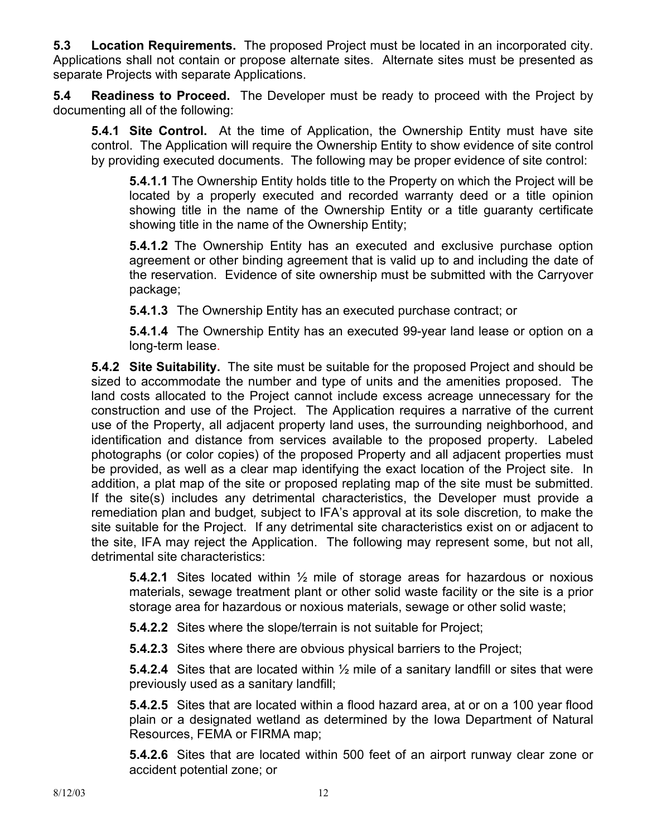**5.3 Location Requirements.** The proposed Project must be located in an incorporated city. Applications shall not contain or propose alternate sites. Alternate sites must be presented as separate Projects with separate Applications.

**5.4 Readiness to Proceed.** The Developer must be ready to proceed with the Project by documenting all of the following:

**5.4.1 Site Control.** At the time of Application, the Ownership Entity must have site control. The Application will require the Ownership Entity to show evidence of site control by providing executed documents. The following may be proper evidence of site control:

**5.4.1.1** The Ownership Entity holds title to the Property on which the Project will be located by a properly executed and recorded warranty deed or a title opinion showing title in the name of the Ownership Entity or a title guaranty certificate showing title in the name of the Ownership Entity;

**5.4.1.2** The Ownership Entity has an executed and exclusive purchase option agreement or other binding agreement that is valid up to and including the date of the reservation. Evidence of site ownership must be submitted with the Carryover package;

**5.4.1.3** The Ownership Entity has an executed purchase contract; or

**5.4.1.4** The Ownership Entity has an executed 99-year land lease or option on a long-term lease.

**5.4.2 Site Suitability.** The site must be suitable for the proposed Project and should be sized to accommodate the number and type of units and the amenities proposed. The land costs allocated to the Project cannot include excess acreage unnecessary for the construction and use of the Project. The Application requires a narrative of the current use of the Property, all adjacent property land uses, the surrounding neighborhood, and identification and distance from services available to the proposed property.Labeled photographs (or color copies) of the proposed Property and all adjacent properties must be provided, as well as a clear map identifying the exact location of the Project site. In addition, a plat map of the site or proposed replating map of the site must be submitted. If the site(s) includes any detrimental characteristics, the Developer must provide a remediation plan and budget*,* subject to IFA's approval at its sole discretion*,* to make the site suitable for the Project. If any detrimental site characteristics exist on or adjacent to the site, IFA may reject the Application.The following may represent some, but not all, detrimental site characteristics:

**5.4.2.1** Sites located within ½ mile of storage areas for hazardous or noxious materials, sewage treatment plant or other solid waste facility or the site is a prior storage area for hazardous or noxious materials, sewage or other solid waste;

**5.4.2.2** Sites where the slope/terrain is not suitable for Project;

**5.4.2.3** Sites where there are obvious physical barriers to the Project;

**5.4.2.4** Sites that are located within ½ mile of a sanitary landfill or sites that were previously used as a sanitary landfill;

**5.4.2.5** Sites that are located within a flood hazard area, at or on a 100 year flood plain or a designated wetland as determined by the Iowa Department of Natural Resources, FEMA or FIRMA map;

**5.4.2.6** Sites that are located within 500 feet of an airport runway clear zone or accident potential zone; or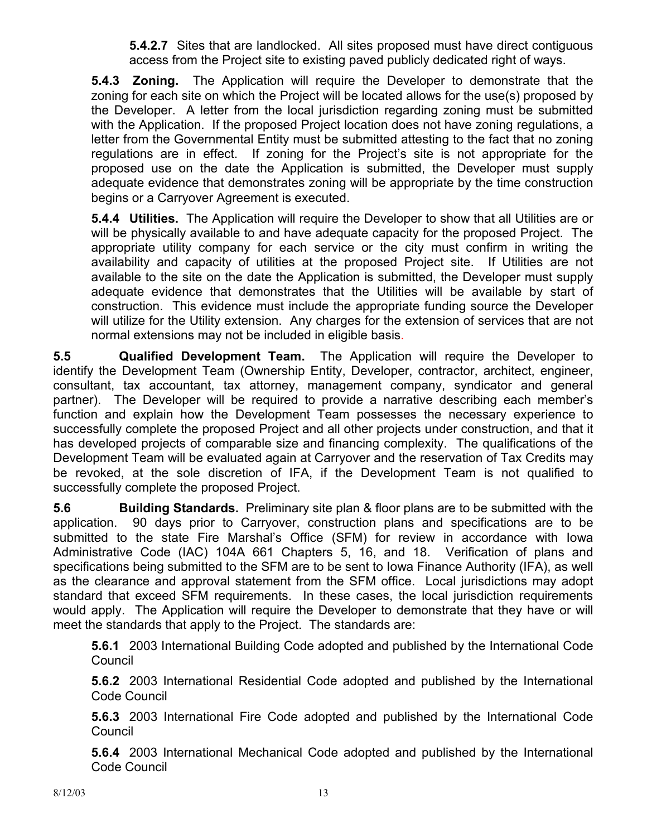**5.4.2.7** Sites that are landlocked. All sites proposed must have direct contiguous access from the Project site to existing paved publicly dedicated right of ways.

**5.4.3 Zoning.** The Application will require the Developer to demonstrate that the zoning for each site on which the Project will be located allows for the use(s) proposed by the Developer. A letter from the local jurisdiction regarding zoning must be submitted with the Application. If the proposed Project location does not have zoning regulations, a letter from the Governmental Entity must be submitted attesting to the fact that no zoning regulations are in effect. If zoning for the Project's site is not appropriate for the proposed use on the date the Application is submitted, the Developer must supply adequate evidence that demonstrates zoning will be appropriate by the time construction begins or a Carryover Agreement is executed.

**5.4.4 Utilities.** The Application will require the Developer to show that all Utilities are or will be physically available to and have adequate capacity for the proposed Project. The appropriate utility company for each service or the city must confirm in writing the availability and capacity of utilities at the proposed Project site. If Utilities are not available to the site on the date the Application is submitted, the Developer must supply adequate evidence that demonstrates that the Utilities will be available by start of construction. This evidence must include the appropriate funding source the Developer will utilize for the Utility extension. Any charges for the extension of services that are not normal extensions may not be included in eligible basis.

**5.5 Qualified Development Team.** The Application will require the Developer to identify the Development Team (Ownership Entity, Developer, contractor, architect, engineer, consultant, tax accountant, tax attorney, management company, syndicator and general partner). The Developer will be required to provide a narrative describing each member's function and explain how the Development Team possesses the necessary experience to successfully complete the proposed Project and all other projects under construction, and that it has developed projects of comparable size and financing complexity. The qualifications of the Development Team will be evaluated again at Carryover and the reservation of Tax Credits may be revoked, at the sole discretion of IFA, if the Development Team is not qualified to successfully complete the proposed Project.

**5.6 Building Standards.** Preliminary site plan & floor plans are to be submitted with the application. 90 days prior to Carryover, construction plans and specifications are to be submitted to the state Fire Marshal's Office (SFM) for review in accordance with Iowa Administrative Code (IAC) 104A 661 Chapters 5, 16, and 18. Verification of plans and specifications being submitted to the SFM are to be sent to Iowa Finance Authority (IFA), as well as the clearance and approval statement from the SFM office. Local jurisdictions may adopt standard that exceed SFM requirements. In these cases, the local jurisdiction requirements would apply. The Application will require the Developer to demonstrate that they have or will meet the standards that apply to the Project. The standards are:

**5.6.1** 2003 International Building Code adopted and published by the International Code **Council** 

**5.6.2** 2003 International Residential Code adopted and published by the International Code Council

**5.6.3** 2003 International Fire Code adopted and published by the International Code Council

**5.6.4** 2003 International Mechanical Code adopted and published by the International Code Council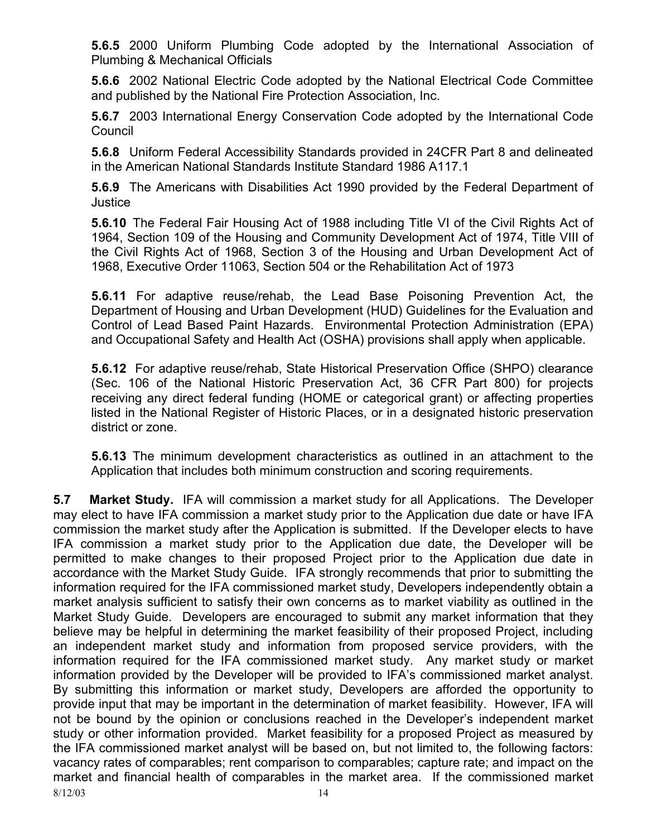**5.6.5** 2000 Uniform Plumbing Code adopted by the International Association of Plumbing & Mechanical Officials

**5.6.6** 2002 National Electric Code adopted by the National Electrical Code Committee and published by the National Fire Protection Association, Inc.

**5.6.7** 2003 International Energy Conservation Code adopted by the International Code **Council** 

**5.6.8** Uniform Federal Accessibility Standards provided in 24CFR Part 8 and delineated in the American National Standards Institute Standard 1986 A117.1

**5.6.9** The Americans with Disabilities Act 1990 provided by the Federal Department of Justice

**5.6.10** The Federal Fair Housing Act of 1988 including Title VI of the Civil Rights Act of 1964, Section 109 of the Housing and Community Development Act of 1974, Title VIII of the Civil Rights Act of 1968, Section 3 of the Housing and Urban Development Act of 1968, Executive Order 11063, Section 504 or the Rehabilitation Act of 1973

**5.6.11** For adaptive reuse/rehab, the Lead Base Poisoning Prevention Act, the Department of Housing and Urban Development (HUD) Guidelines for the Evaluation and Control of Lead Based Paint Hazards. Environmental Protection Administration (EPA) and Occupational Safety and Health Act (OSHA) provisions shall apply when applicable.

**5.6.12** For adaptive reuse/rehab, State Historical Preservation Office (SHPO) clearance (Sec. 106 of the National Historic Preservation Act, 36 CFR Part 800) for projects receiving any direct federal funding (HOME or categorical grant) or affecting properties listed in the National Register of Historic Places, or in a designated historic preservation district or zone.

**5.6.13** The minimum development characteristics as outlined in an attachment to the Application that includes both minimum construction and scoring requirements.

8/12/03 14 **5.7 Market Study.** IFA will commission a market study for all Applications. The Developer may elect to have IFA commission a market study prior to the Application due date or have IFA commission the market study after the Application is submitted. If the Developer elects to have IFA commission a market study prior to the Application due date, the Developer will be permitted to make changes to their proposed Project prior to the Application due date in accordance with the Market Study Guide. IFA strongly recommends that prior to submitting the information required for the IFA commissioned market study, Developers independently obtain a market analysis sufficient to satisfy their own concerns as to market viability as outlined in the Market Study Guide. Developers are encouraged to submit any market information that they believe may be helpful in determining the market feasibility of their proposed Project, including an independent market study and information from proposed service providers, with the information required for the IFA commissioned market study. Any market study or market information provided by the Developer will be provided to IFA's commissioned market analyst. By submitting this information or market study, Developers are afforded the opportunity to provide input that may be important in the determination of market feasibility. However, IFA will not be bound by the opinion or conclusions reached in the Developer's independent market study or other information provided. Market feasibility for a proposed Project as measured by the IFA commissioned market analyst will be based on, but not limited to, the following factors: vacancy rates of comparables; rent comparison to comparables; capture rate; and impact on the market and financial health of comparables in the market area. If the commissioned market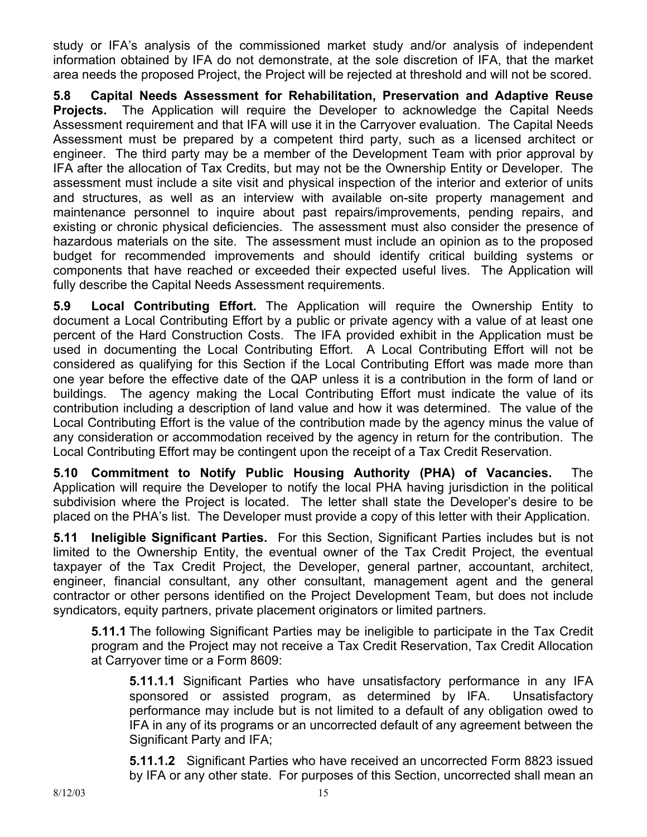study or IFA's analysis of the commissioned market study and/or analysis of independent information obtained by IFA do not demonstrate, at the sole discretion of IFA, that the market area needs the proposed Project, the Project will be rejected at threshold and will not be scored.

**5.8 Capital Needs Assessment for Rehabilitation, Preservation and Adaptive Reuse Projects.** The Application will require the Developer to acknowledge the Capital Needs Assessment requirement and that IFA will use it in the Carryover evaluation. The Capital Needs Assessment must be prepared by a competent third party, such as a licensed architect or engineer. The third party may be a member of the Development Team with prior approval by IFA after the allocation of Tax Credits, but may not be the Ownership Entity or Developer. The assessment must include a site visit and physical inspection of the interior and exterior of units and structures, as well as an interview with available on-site property management and maintenance personnel to inquire about past repairs/improvements, pending repairs, and existing or chronic physical deficiencies. The assessment must also consider the presence of hazardous materials on the site. The assessment must include an opinion as to the proposed budget for recommended improvements and should identify critical building systems or components that have reached or exceeded their expected useful lives. The Application will fully describe the Capital Needs Assessment requirements.

**5.9 Local Contributing Effort.** The Application will require the Ownership Entity to document a Local Contributing Effort by a public or private agency with a value of at least one percent of the Hard Construction Costs. The IFA provided exhibit in the Application must be used in documenting the Local Contributing Effort. A Local Contributing Effort will not be considered as qualifying for this Section if the Local Contributing Effort was made more than one year before the effective date of the QAP unless it is a contribution in the form of land or buildings. The agency making the Local Contributing Effort must indicate the value of its contribution including a description of land value and how it was determined. The value of the Local Contributing Effort is the value of the contribution made by the agency minus the value of any consideration or accommodation received by the agency in return for the contribution. The Local Contributing Effort may be contingent upon the receipt of a Tax Credit Reservation.

**5.10 Commitment to Notify Public Housing Authority (PHA) of Vacancies.** The Application will require the Developer to notify the local PHA having jurisdiction in the political subdivision where the Project is located. The letter shall state the Developer's desire to be placed on the PHA's list. The Developer must provide a copy of this letter with their Application.

**5.11 Ineligible Significant Parties.** For this Section, Significant Parties includes but is not limited to the Ownership Entity, the eventual owner of the Tax Credit Project, the eventual taxpayer of the Tax Credit Project, the Developer, general partner, accountant, architect, engineer, financial consultant, any other consultant, management agent and the general contractor or other persons identified on the Project Development Team, but does not include syndicators, equity partners, private placement originators or limited partners.

**5.11.1** The following Significant Parties may be ineligible to participate in the Tax Credit program and the Project may not receive a Tax Credit Reservation, Tax Credit Allocation at Carryover time or a Form 8609:

**5.11.1.1** Significant Parties who have unsatisfactory performance in any IFA sponsored or assisted program, as determined by IFA. Unsatisfactory performance may include but is not limited to a default of any obligation owed to IFA in any of its programs or an uncorrected default of any agreement between the Significant Party and IFA;

**5.11.1.2** Significant Parties who have received an uncorrected Form 8823 issued by IFA or any other state. For purposes of this Section, uncorrected shall mean an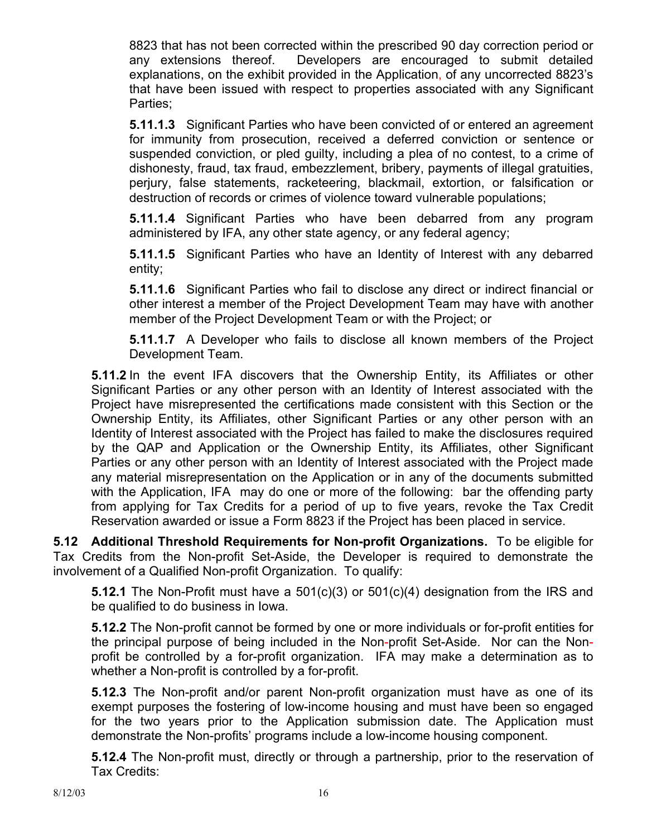8823 that has not been corrected within the prescribed 90 day correction period or any extensions thereof. Developers are encouraged to submit detailed explanations, on the exhibit provided in the Application, of any uncorrected 8823's that have been issued with respect to properties associated with any Significant Parties;

**5.11.1.3** Significant Parties who have been convicted of or entered an agreement for immunity from prosecution, received a deferred conviction or sentence or suspended conviction, or pled guilty, including a plea of no contest, to a crime of dishonesty, fraud, tax fraud, embezzlement, bribery, payments of illegal gratuities, perjury, false statements, racketeering, blackmail, extortion, or falsification or destruction of records or crimes of violence toward vulnerable populations;

**5.11.1.4** Significant Parties who have been debarred from any program administered by IFA, any other state agency, or any federal agency;

**5.11.1.5** Significant Parties who have an Identity of Interest with any debarred entity;

**5.11.1.6** Significant Parties who fail to disclose any direct or indirect financial or other interest a member of the Project Development Team may have with another member of the Project Development Team or with the Project; or

**5.11.1.7** A Developer who fails to disclose all known members of the Project Development Team.

**5.11.2** In the event IFA discovers that the Ownership Entity, its Affiliates or other Significant Parties or any other person with an Identity of Interest associated with the Project have misrepresented the certifications made consistent with this Section or the Ownership Entity, its Affiliates, other Significant Parties or any other person with an Identity of Interest associated with the Project has failed to make the disclosures required by the QAP and Application or the Ownership Entity, its Affiliates, other Significant Parties or any other person with an Identity of Interest associated with the Project made any material misrepresentation on the Application or in any of the documents submitted with the Application, IFA may do one or more of the following: bar the offending party from applying for Tax Credits for a period of up to five years, revoke the Tax Credit Reservation awarded or issue a Form 8823 if the Project has been placed in service.

**5.12 Additional Threshold Requirements for Non-profit Organizations.** To be eligible for Tax Credits from the Non-profit Set-Aside, the Developer is required to demonstrate the involvement of a Qualified Non-profit Organization. To qualify:

**5.12.1** The Non-Profit must have a 501(c)(3) or 501(c)(4) designation from the IRS and be qualified to do business in Iowa.

**5.12.2** The Non-profit cannot be formed by one or more individuals or for-profit entities for the principal purpose of being included in the Non-profit Set-Aside. Nor can the Nonprofit be controlled by a for-profit organization. IFA may make a determination as to whether a Non-profit is controlled by a for-profit.

**5.12.3** The Non-profit and/or parent Non-profit organization must have as one of its exempt purposes the fostering of low-income housing and must have been so engaged for the two years prior to the Application submission date. The Application must demonstrate the Non-profits' programs include a low-income housing component.

**5.12.4** The Non-profit must, directly or through a partnership, prior to the reservation of Tax Credits: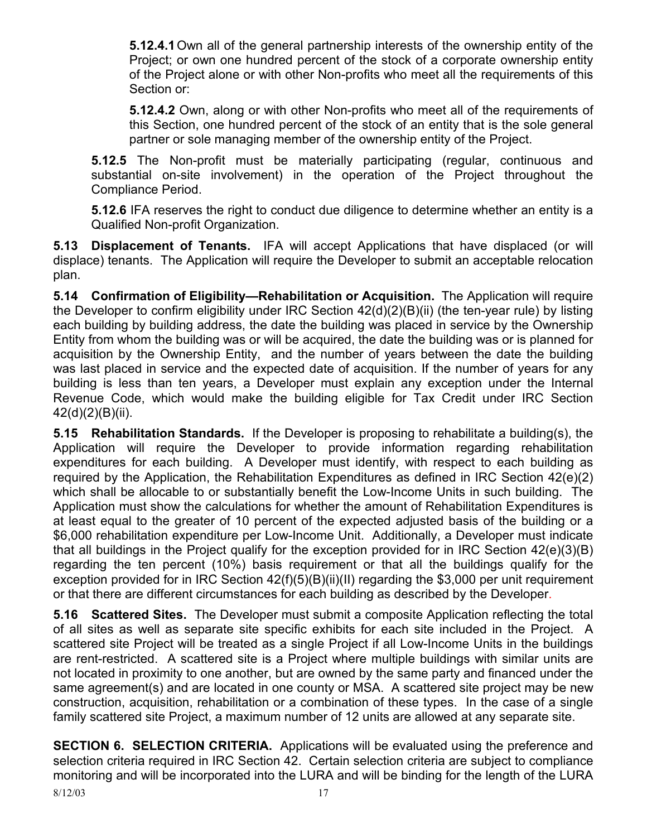**5.12.4.1** Own all of the general partnership interests of the ownership entity of the Project; or own one hundred percent of the stock of a corporate ownership entity of the Project alone or with other Non-profits who meet all the requirements of this Section or:

**5.12.4.2** Own, along or with other Non-profits who meet all of the requirements of this Section, one hundred percent of the stock of an entity that is the sole general partner or sole managing member of the ownership entity of the Project.

**5.12.5** The Non-profit must be materially participating (regular, continuous and substantial on-site involvement) in the operation of the Project throughout the Compliance Period.

**5.12.6** IFA reserves the right to conduct due diligence to determine whether an entity is a Qualified Non-profit Organization.

**5.13 Displacement of Tenants.** IFA will accept Applications that have displaced (or will displace) tenants. The Application will require the Developer to submit an acceptable relocation plan.

**5.14 Confirmation of Eligibility—Rehabilitation or Acquisition.** The Application will require the Developer to confirm eligibility under IRC Section 42(d)(2)(B)(ii) (the ten-year rule) by listing each building by building address, the date the building was placed in service by the Ownership Entity from whom the building was or will be acquired, the date the building was or is planned for acquisition by the Ownership Entity, and the number of years between the date the building was last placed in service and the expected date of acquisition. If the number of years for any building is less than ten years, a Developer must explain any exception under the Internal Revenue Code, which would make the building eligible for Tax Credit under IRC Section 42(d)(2)(B)(ii).

**5.15 Rehabilitation Standards.** If the Developer is proposing to rehabilitate a building(s), the Application will require the Developer to provide information regarding rehabilitation expenditures for each building. A Developer must identify, with respect to each building as required by the Application, the Rehabilitation Expenditures as defined in IRC Section 42(e)(2) which shall be allocable to or substantially benefit the Low-Income Units in such building. The Application must show the calculations for whether the amount of Rehabilitation Expenditures is at least equal to the greater of 10 percent of the expected adjusted basis of the building or a \$6,000 rehabilitation expenditure per Low-Income Unit. Additionally, a Developer must indicate that all buildings in the Project qualify for the exception provided for in IRC Section 42(e)(3)(B) regarding the ten percent (10%) basis requirement or that all the buildings qualify for the exception provided for in IRC Section 42(f)(5)(B)(ii)(II) regarding the \$3,000 per unit requirement or that there are different circumstances for each building as described by the Developer.

**5.16 Scattered Sites.** The Developer must submit a composite Application reflecting the total of all sites as well as separate site specific exhibits for each site included in the Project. A scattered site Project will be treated as a single Project if all Low-Income Units in the buildings are rent-restricted. A scattered site is a Project where multiple buildings with similar units are not located in proximity to one another, but are owned by the same party and financed under the same agreement(s) and are located in one county or MSA. A scattered site project may be new construction, acquisition, rehabilitation or a combination of these types. In the case of a single family scattered site Project, a maximum number of 12 units are allowed at any separate site.

**SECTION 6. SELECTION CRITERIA.** Applications will be evaluated using the preference and selection criteria required in IRC Section 42. Certain selection criteria are subject to compliance monitoring and will be incorporated into the LURA and will be binding for the length of the LURA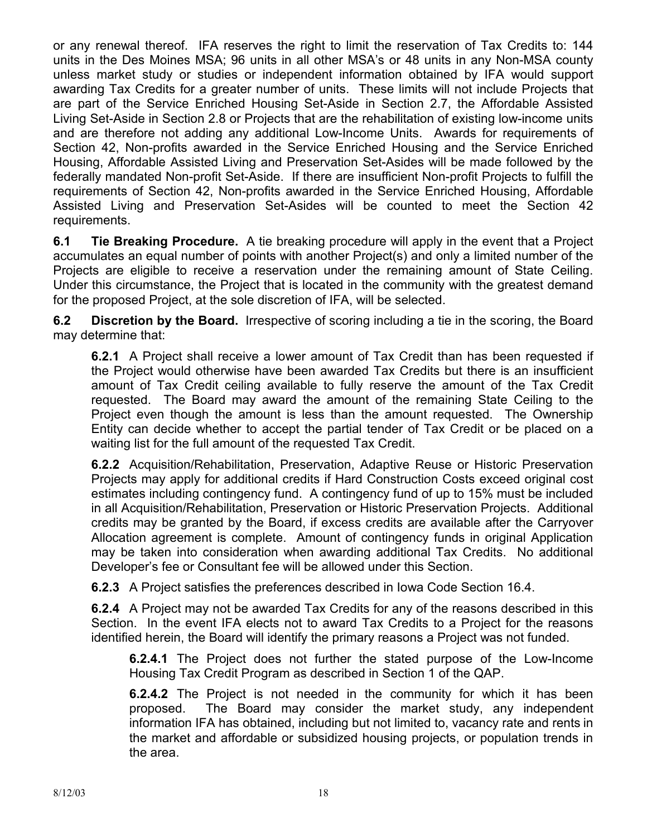or any renewal thereof. IFA reserves the right to limit the reservation of Tax Credits to: 144 units in the Des Moines MSA; 96 units in all other MSA's or 48 units in any Non-MSA county unless market study or studies or independent information obtained by IFA would support awarding Tax Credits for a greater number of units. These limits will not include Projects that are part of the Service Enriched Housing Set-Aside in Section 2.7, the Affordable Assisted Living Set-Aside in Section 2.8 or Projects that are the rehabilitation of existing low-income units and are therefore not adding any additional Low-Income Units. Awards for requirements of Section 42, Non-profits awarded in the Service Enriched Housing and the Service Enriched Housing, Affordable Assisted Living and Preservation Set-Asides will be made followed by the federally mandated Non-profit Set-Aside. If there are insufficient Non-profit Projects to fulfill the requirements of Section 42, Non-profits awarded in the Service Enriched Housing, Affordable Assisted Living and Preservation Set-Asides will be counted to meet the Section 42 requirements.

**6.1 Tie Breaking Procedure.** A tie breaking procedure will apply in the event that a Project accumulates an equal number of points with another Project(s) and only a limited number of the Projects are eligible to receive a reservation under the remaining amount of State Ceiling. Under this circumstance, the Project that is located in the community with the greatest demand for the proposed Project, at the sole discretion of IFA, will be selected.

**6.2 Discretion by the Board.** Irrespective of scoring including a tie in the scoring, the Board may determine that:

**6.2.1** A Project shall receive a lower amount of Tax Credit than has been requested if the Project would otherwise have been awarded Tax Credits but there is an insufficient amount of Tax Credit ceiling available to fully reserve the amount of the Tax Credit requested. The Board may award the amount of the remaining State Ceiling to the Project even though the amount is less than the amount requested. The Ownership Entity can decide whether to accept the partial tender of Tax Credit or be placed on a waiting list for the full amount of the requested Tax Credit.

**6.2.2** Acquisition/Rehabilitation, Preservation, Adaptive Reuse or Historic Preservation Projects may apply for additional credits if Hard Construction Costs exceed original cost estimates including contingency fund. A contingency fund of up to 15% must be included in all Acquisition/Rehabilitation, Preservation or Historic Preservation Projects. Additional credits may be granted by the Board, if excess credits are available after the Carryover Allocation agreement is complete. Amount of contingency funds in original Application may be taken into consideration when awarding additional Tax Credits. No additional Developer's fee or Consultant fee will be allowed under this Section.

**6.2.3** A Project satisfies the preferences described in Iowa Code Section 16.4.

**6.2.4** A Project may not be awarded Tax Credits for any of the reasons described in this Section. In the event IFA elects not to award Tax Credits to a Project for the reasons identified herein, the Board will identify the primary reasons a Project was not funded.

**6.2.4.1** The Project does not further the stated purpose of the Low-Income Housing Tax Credit Program as described in Section 1 of the QAP.

**6.2.4.2** The Project is not needed in the community for which it has been proposed. The Board may consider the market study, any independent information IFA has obtained, including but not limited to, vacancy rate and rents in the market and affordable or subsidized housing projects, or population trends in the area.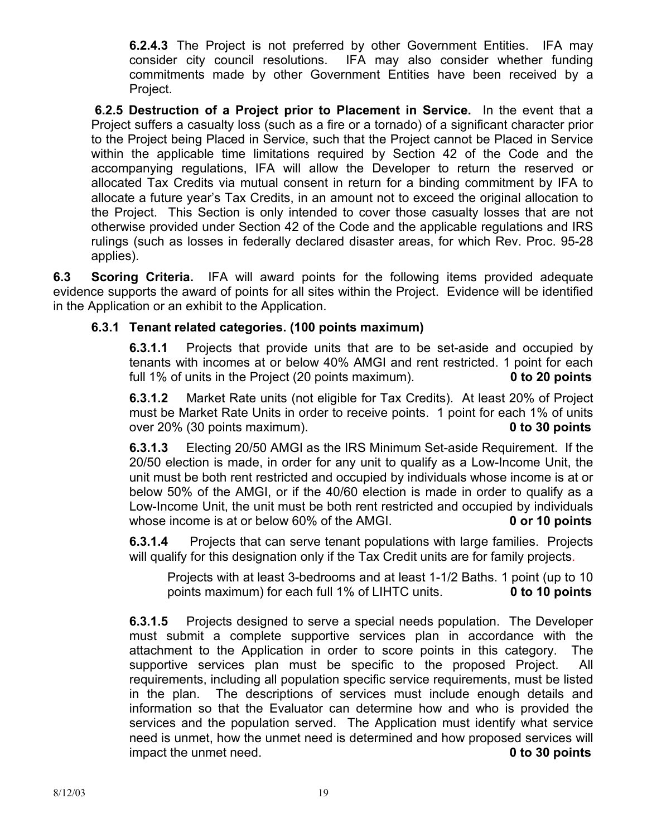**6.2.4.3** The Project is not preferred by other Government Entities. IFA may consider city council resolutions. IFA may also consider whether funding commitments made by other Government Entities have been received by a Project.

**6.2.5 Destruction of a Project prior to Placement in Service.** In the event that a Project suffers a casualty loss (such as a fire or a tornado) of a significant character prior to the Project being Placed in Service, such that the Project cannot be Placed in Service within the applicable time limitations required by Section 42 of the Code and the accompanying regulations, IFA will allow the Developer to return the reserved or allocated Tax Credits via mutual consent in return for a binding commitment by IFA to allocate a future year's Tax Credits, in an amount not to exceed the original allocation to the Project. This Section is only intended to cover those casualty losses that are not otherwise provided under Section 42 of the Code and the applicable regulations and IRS rulings (such as losses in federally declared disaster areas, for which Rev. Proc. 95-28 applies).

**6.3 Scoring Criteria.** IFA will award points for the following items provided adequate evidence supports the award of points for all sites within the Project. Evidence will be identified in the Application or an exhibit to the Application.

### **6.3.1 Tenant related categories. (100 points maximum)**

**6.3.1.1** Projects that provide units that are to be set-aside and occupied by tenants with incomes at or below 40% AMGI and rent restricted. 1 point for each full 1% of units in the Project (20 points maximum). **0 to 20 points** 

**6.3.1.2** Market Rate units (not eligible for Tax Credits). At least 20% of Project must be Market Rate Units in order to receive points. 1 point for each 1% of units over 20% (30 points maximum). **0 to 30 points** 

**6.3.1.3** Electing 20/50 AMGI as the IRS Minimum Set-aside Requirement. If the 20/50 election is made, in order for any unit to qualify as a Low-Income Unit, the unit must be both rent restricted and occupied by individuals whose income is at or below 50% of the AMGI, or if the 40/60 election is made in order to qualify as a Low-Income Unit, the unit must be both rent restricted and occupied by individuals whose income is at or below 60% of the AMGI. **0 or 10 points** 

**6.3.1.4** Projects that can serve tenant populations with large families. Projects will qualify for this designation only if the Tax Credit units are for family projects.

 Projects with at least 3-bedrooms and at least 1-1/2 Baths. 1 point (up to 10 points maximum) for each full 1% of LIHTC units. **0 to 10 points** 

**6.3.1.5** Projects designed to serve a special needs population. The Developer must submit a complete supportive services plan in accordance with the attachment to the Application in order to score points in this category. The supportive services plan must be specific to the proposed Project. All requirements, including all population specific service requirements, must be listed in the plan. The descriptions of services must include enough details and information so that the Evaluator can determine how and who is provided the services and the population served. The Application must identify what service need is unmet, how the unmet need is determined and how proposed services will impact the unmet need. **0 to 30 points**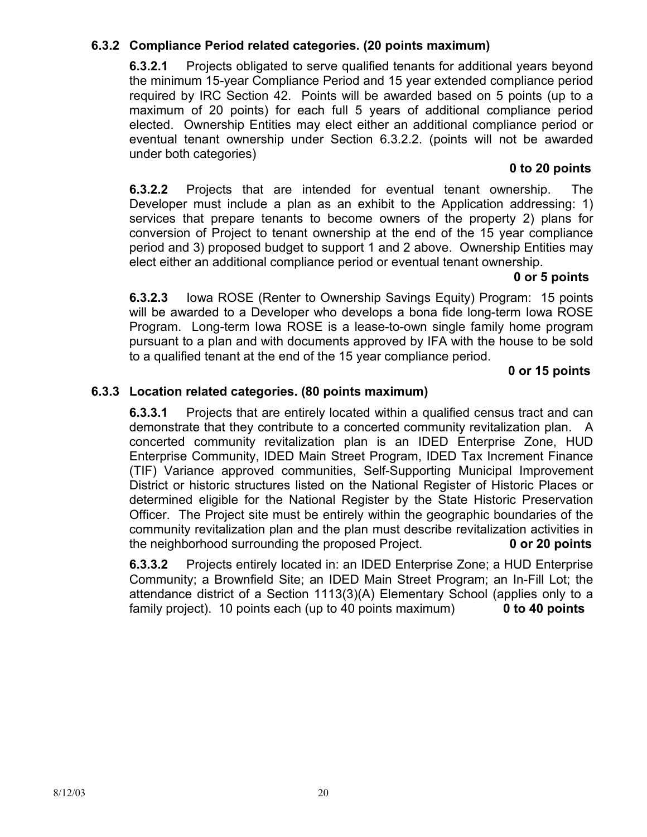## **6.3.2 Compliance Period related categories. (20 points maximum)**

 **6.3.2.1** Projects obligated to serve qualified tenants for additional years beyond the minimum 15-year Compliance Period and 15 year extended compliance period required by IRC Section 42. Points will be awarded based on 5 points (up to a maximum of 20 points) for each full 5 years of additional compliance period elected. Ownership Entities may elect either an additional compliance period or eventual tenant ownership under Section 6.3.2.2. (points will not be awarded under both categories)

#### **0 to 20 points**

**6.3.2.2** Projects that are intended for eventual tenant ownership. The Developer must include a plan as an exhibit to the Application addressing: 1) services that prepare tenants to become owners of the property 2) plans for conversion of Project to tenant ownership at the end of the 15 year compliance period and 3) proposed budget to support 1 and 2 above. Ownership Entities may elect either an additional compliance period or eventual tenant ownership.

#### **0 or 5 points**

**6.3.2.3** Iowa ROSE (Renter to Ownership Savings Equity) Program: 15 points will be awarded to a Developer who develops a bona fide long-term Iowa ROSE Program. Long-term Iowa ROSE is a lease-to-own single family home program pursuant to a plan and with documents approved by IFA with the house to be sold to a qualified tenant at the end of the 15 year compliance period.

#### **0 or 15 points**

#### **6.3.3 Location related categories. (80 points maximum)**

**6.3.3.1** Projects that are entirely located within a qualified census tract and can demonstrate that they contribute to a concerted community revitalization plan. A concerted community revitalization plan is an IDED Enterprise Zone, HUD Enterprise Community, IDED Main Street Program, IDED Tax Increment Finance (TIF) Variance approved communities, Self-Supporting Municipal Improvement District or historic structures listed on the National Register of Historic Places or determined eligible for the National Register by the State Historic Preservation Officer. The Project site must be entirely within the geographic boundaries of the community revitalization plan and the plan must describe revitalization activities in the neighborhood surrounding the proposed Project. **0 or 20 points** 

**6.3.3.2** Projects entirely located in: an IDED Enterprise Zone; a HUD Enterprise Community; a Brownfield Site; an IDED Main Street Program; an In-Fill Lot; the attendance district of a Section 1113(3)(A) Elementary School (applies only to a family project). 10 points each (up to 40 points maximum) **0 to 40 points**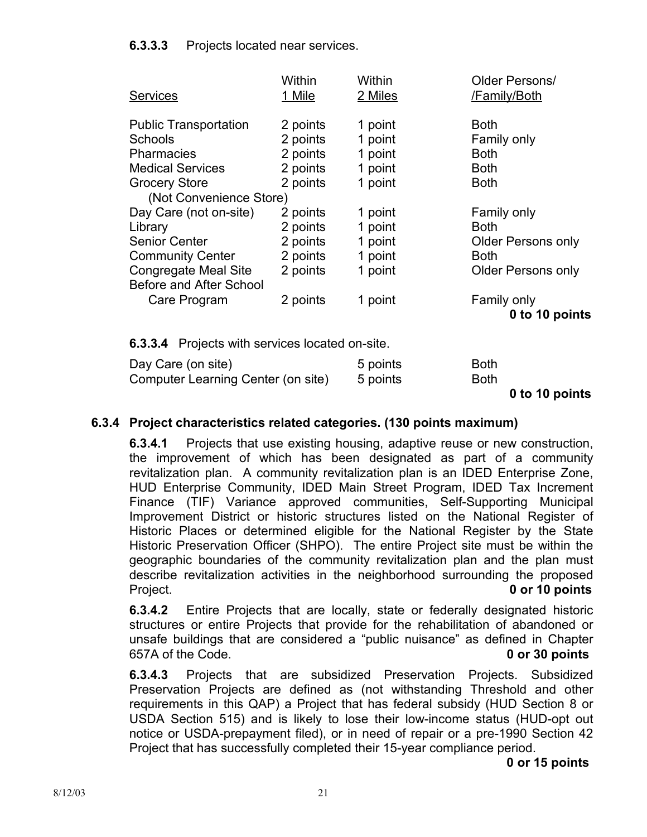### **6.3.3.3** Projects located near services.

| <b>Services</b>              | Within<br>1 Mile | Within<br>2 Miles | Older Persons/<br>/Family/Both |
|------------------------------|------------------|-------------------|--------------------------------|
| <b>Public Transportation</b> | 2 points         | 1 point           | <b>Both</b>                    |
| <b>Schools</b>               | 2 points         | 1 point           | Family only                    |
| <b>Pharmacies</b>            | 2 points         | 1 point           | <b>Both</b>                    |
| <b>Medical Services</b>      | 2 points         | 1 point           | <b>Both</b>                    |
| <b>Grocery Store</b>         | 2 points         | 1 point           | <b>Both</b>                    |
| (Not Convenience Store)      |                  |                   |                                |
| Day Care (not on-site)       | 2 points         | 1 point           | Family only                    |
| Library                      | 2 points         | 1 point           | <b>Both</b>                    |
| <b>Senior Center</b>         | 2 points         | 1 point           | <b>Older Persons only</b>      |
| <b>Community Center</b>      | 2 points         | 1 point           | <b>Both</b>                    |
| Congregate Meal Site         | 2 points         | 1 point           | <b>Older Persons only</b>      |
| Before and After School      |                  |                   |                                |
| Care Program                 | 2 points         | 1 point           | Family only                    |
|                              |                  |                   | 0 to 10 points                 |
|                              |                  |                   |                                |

**6.3.3.4** Projects with services located on-site.

| Day Care (on site)                 | 5 points | <b>Both</b> |
|------------------------------------|----------|-------------|
| Computer Learning Center (on site) | 5 points | Both        |

 **<sup>0</sup> to 10 points** 

### **6.3.4 Project characteristics related categories. (130 points maximum)**

**6.3.4.1** Projects that use existing housing, adaptive reuse or new construction, the improvement of which has been designated as part of a community revitalization plan. A community revitalization plan is an IDED Enterprise Zone, HUD Enterprise Community, IDED Main Street Program, IDED Tax Increment Finance (TIF) Variance approved communities, Self-Supporting Municipal Improvement District or historic structures listed on the National Register of Historic Places or determined eligible for the National Register by the State Historic Preservation Officer (SHPO). The entire Project site must be within the geographic boundaries of the community revitalization plan and the plan must describe revitalization activities in the neighborhood surrounding the proposed Project. **0 or 10 points** 

**6.3.4.2** Entire Projects that are locally, state or federally designated historic structures or entire Projects that provide for the rehabilitation of abandoned or unsafe buildings that are considered a "public nuisance" as defined in Chapter 657A of the Code. **0 or 30 points** 

**6.3.4.3** Projects that are subsidized Preservation Projects. Subsidized Preservation Projects are defined as (not withstanding Threshold and other requirements in this QAP) a Project that has federal subsidy (HUD Section 8 or USDA Section 515) and is likely to lose their low-income status (HUD-opt out notice or USDA-prepayment filed), or in need of repair or a pre-1990 Section 42 Project that has successfully completed their 15-year compliance period.

 **0 or 15 points**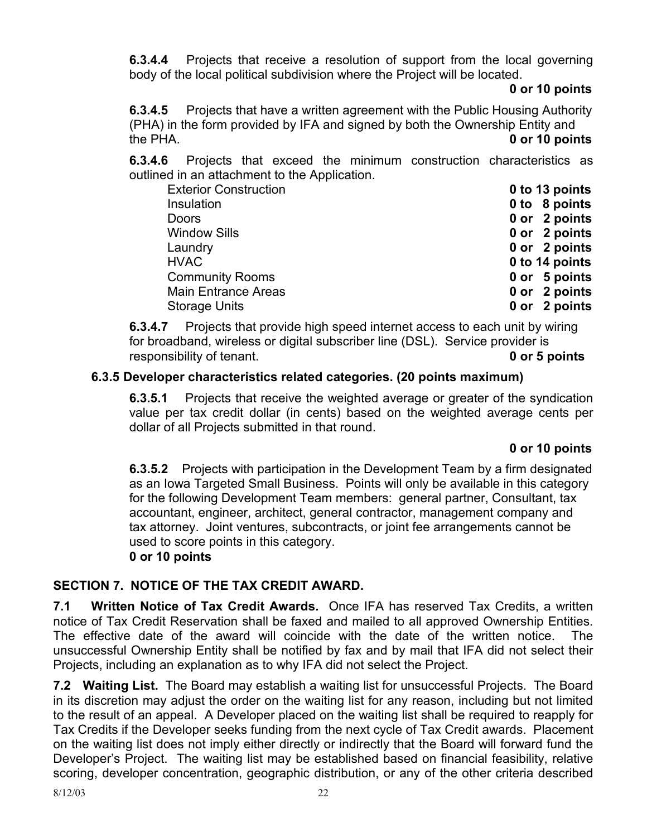**6.3.4.4** Projects that receive a resolution of support from the local governing body of the local political subdivision where the Project will be located.

#### **0 or 10 points**

**6.3.4.5** Projects that have a written agreement with the Public Housing Authority (PHA) in the form provided by IFA and signed by both the Ownership Entity and the PHA. **0 or 10 points** 

**6.3.4.6** Projects that exceed the minimum construction characteristics as outlined in an attachment to the Application.

| <b>Exterior Construction</b> | 0 to 13 points |
|------------------------------|----------------|
| Insulation                   | 0 to 8 points  |
| <b>Doors</b>                 | 0 or 2 points  |
| <b>Window Sills</b>          | 0 or 2 points  |
| Laundry                      | 0 or 2 points  |
| <b>HVAC</b>                  | 0 to 14 points |
| <b>Community Rooms</b>       | 0 or 5 points  |
| <b>Main Entrance Areas</b>   | 0 or 2 points  |
| <b>Storage Units</b>         | 0 or 2 points  |

**6.3.4.7** Projects that provide high speed internet access to each unit by wiring for broadband, wireless or digital subscriber line (DSL). Service provider is responsibility of tenant. **0 or 5 points** 

## **6.3.5Developer characteristics related categories. (20 points maximum)**

**6.3.5.1** Projects that receive the weighted average or greater of the syndication value per tax credit dollar (in cents) based on the weighted average cents per dollar of all Projects submitted in that round.

## **0 or 10 points**

**6.3.5.2** Projects with participation in the Development Team by a firm designated as an Iowa Targeted Small Business. Points will only be available in this category for the following Development Team members: general partner, Consultant, tax accountant, engineer, architect, general contractor, management company and tax attorney. Joint ventures, subcontracts, or joint fee arrangements cannot be used to score points in this category. **0 or 10 points** 

## **SECTION 7. NOTICE OF THE TAX CREDIT AWARD.**

**7.1 Written Notice of Tax Credit Awards.** Once IFA has reserved Tax Credits, a written notice of Tax Credit Reservation shall be faxed and mailed to all approved Ownership Entities. The effective date of the award will coincide with the date of the written notice. The unsuccessful Ownership Entity shall be notified by fax and by mail that IFA did not select their Projects, including an explanation as to why IFA did not select the Project.

**7.2 Waiting List.** The Board may establish a waiting list for unsuccessful Projects. The Board in its discretion may adjust the order on the waiting list for any reason, including but not limited to the result of an appeal. A Developer placed on the waiting list shall be required to reapply for Tax Credits if the Developer seeks funding from the next cycle of Tax Credit awards. Placement on the waiting list does not imply either directly or indirectly that the Board will forward fund the Developer's Project. The waiting list may be established based on financial feasibility, relative scoring, developer concentration, geographic distribution, or any of the other criteria described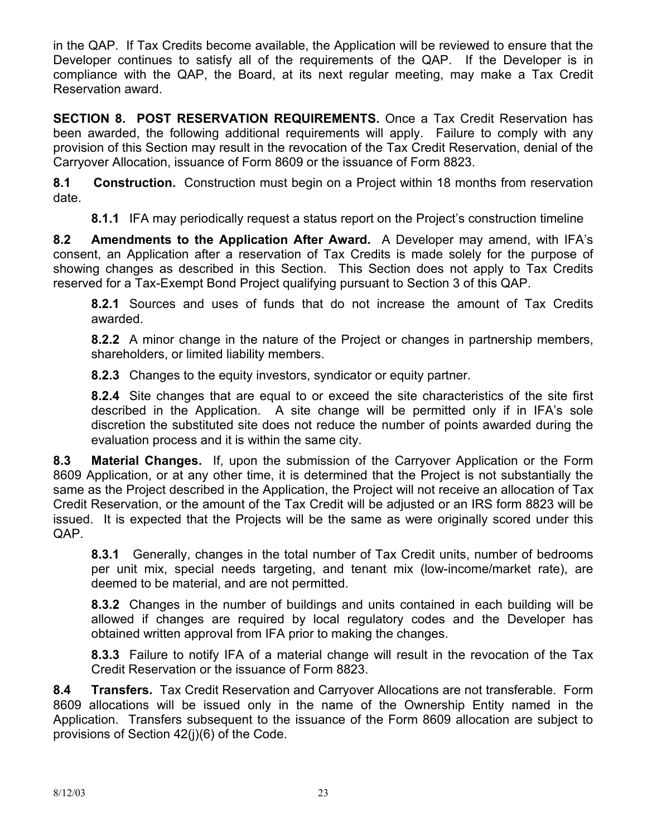in the QAP. If Tax Credits become available, the Application will be reviewed to ensure that the Developer continues to satisfy all of the requirements of the QAP. If the Developer is in compliance with the QAP, the Board, at its next regular meeting, may make a Tax Credit Reservation award.

**SECTION 8. POST RESERVATION REQUIREMENTS.** Once a Tax Credit Reservation has been awarded, the following additional requirements will apply. Failure to comply with any provision of this Section may result in the revocation of the Tax Credit Reservation, denial of the Carryover Allocation, issuance of Form 8609 or the issuance of Form 8823.

**8.1 Construction.** Construction must begin on a Project within 18 months from reservation date.

**8.1.1** IFA may periodically request a status report on the Project's construction timeline

**8.2 Amendments to the Application After Award.** A Developer may amend, with IFA's consent, an Application after a reservation of Tax Credits is made solely for the purpose of showing changes as described in this Section. This Section does not apply to Tax Credits reserved for a Tax-Exempt Bond Project qualifying pursuant to Section 3 of this QAP.

**8.2.1** Sources and uses of funds that do not increase the amount of Tax Credits awarded.

**8.2.2** A minor change in the nature of the Project or changes in partnership members, shareholders, or limited liability members.

**8.2.3** Changes to the equity investors, syndicator or equity partner.

**8.2.4** Site changes that are equal to or exceed the site characteristics of the site first described in the Application. A site change will be permitted only if in IFA's sole discretion the substituted site does not reduce the number of points awarded during the evaluation process and it is within the same city.

**8.3 Material Changes.** If, upon the submission of the Carryover Application or the Form 8609 Application, or at any other time, it is determined that the Project is not substantially the same as the Project described in the Application, the Project will not receive an allocation of Tax Credit Reservation, or the amount of the Tax Credit will be adjusted or an IRS form 8823 will be issued. It is expected that the Projects will be the same as were originally scored under this QAP.

**8.3.1** Generally, changes in the total number of Tax Credit units, number of bedrooms per unit mix, special needs targeting, and tenant mix (low-income/market rate), are deemed to be material, and are not permitted.

**8.3.2** Changes in the number of buildings and units contained in each building will be allowed if changes are required by local regulatory codes and the Developer has obtained written approval from IFA prior to making the changes.

**8.3.3** Failure to notify IFA of a material change will result in the revocation of the Tax Credit Reservation or the issuance of Form 8823.

**8.4 Transfers.** Tax Credit Reservation and Carryover Allocations are not transferable. Form 8609 allocations will be issued only in the name of the Ownership Entity named in the Application. Transfers subsequent to the issuance of the Form 8609 allocation are subject to provisions of Section 42(j)(6) of the Code.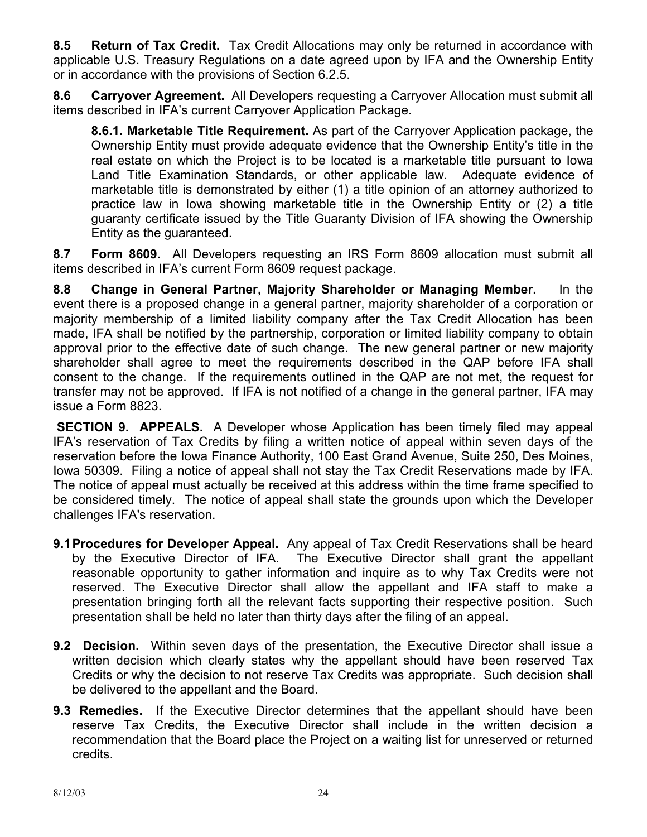**8.5 Return of Tax Credit.** Tax Credit Allocations may only be returned in accordance with applicable U.S. Treasury Regulations on a date agreed upon by IFA and the Ownership Entity or in accordance with the provisions of Section 6.2.5.

**8.6 Carryover Agreement.** All Developers requesting a Carryover Allocation must submit all items described in IFA's current Carryover Application Package.

**8.6.1. Marketable Title Requirement.** As part of the Carryover Application package, the Ownership Entity must provide adequate evidence that the Ownership Entity's title in the real estate on which the Project is to be located is a marketable title pursuant to Iowa Land Title Examination Standards, or other applicable law. Adequate evidence of marketable title is demonstrated by either (1) a title opinion of an attorney authorized to practice law in Iowa showing marketable title in the Ownership Entity or (2) a title guaranty certificate issued by the Title Guaranty Division of IFA showing the Ownership Entity as the guaranteed.

**8.7 Form 8609.** All Developers requesting an IRS Form 8609 allocation must submit all items described in IFA's current Form 8609 request package.

**8.8 Change in General Partner, Majority Shareholder or Managing Member.** In the event there is a proposed change in a general partner, majority shareholder of a corporation or majority membership of a limited liability company after the Tax Credit Allocation has been made, IFA shall be notified by the partnership, corporation or limited liability company to obtain approval prior to the effective date of such change. The new general partner or new majority shareholder shall agree to meet the requirements described in the QAP before IFA shall consent to the change. If the requirements outlined in the QAP are not met, the request for transfer may not be approved. If IFA is not notified of a change in the general partner, IFA may issue a Form 8823.

**SECTION 9. APPEALS.** A Developer whose Application has been timely filed may appeal IFA's reservation of Tax Credits by filing a written notice of appeal within seven days of the reservation before the Iowa Finance Authority, 100 East Grand Avenue, Suite 250, Des Moines, Iowa 50309. Filing a notice of appeal shall not stay the Tax Credit Reservations made by IFA. The notice of appeal must actually be received at this address within the time frame specified to be considered timely. The notice of appeal shall state the grounds upon which the Developer challenges IFA's reservation.

- **9.1 Procedures for Developer Appeal.** Any appeal of Tax Credit Reservations shall be heard by the Executive Director of IFA. The Executive Director shall grant the appellant reasonable opportunity to gather information and inquire as to why Tax Credits were not reserved. The Executive Director shall allow the appellant and IFA staff to make a presentation bringing forth all the relevant facts supporting their respective position. Such presentation shall be held no later than thirty days after the filing of an appeal.
- **9.2 Decision.** Within seven days of the presentation, the Executive Director shall issue a written decision which clearly states why the appellant should have been reserved Tax Credits or why the decision to not reserve Tax Credits was appropriate. Such decision shall be delivered to the appellant and the Board.
- **9.3 Remedies.** If the Executive Director determines that the appellant should have been reserve Tax Credits, the Executive Director shall include in the written decision a recommendation that the Board place the Project on a waiting list for unreserved or returned credits.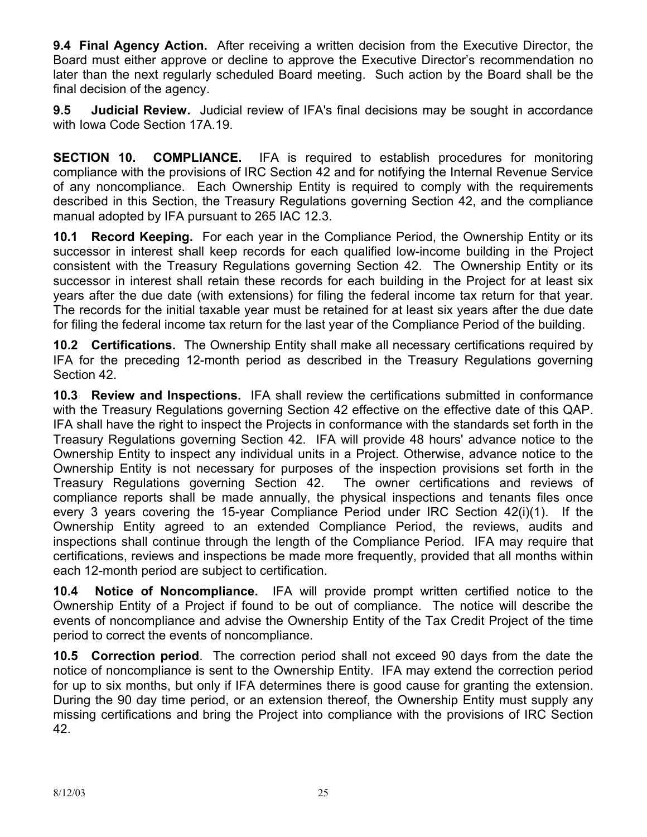**9.4 Final Agency Action.** After receiving a written decision from the Executive Director, the Board must either approve or decline to approve the Executive Director's recommendation no later than the next regularly scheduled Board meeting. Such action by the Board shall be the final decision of the agency.

**9.5 Judicial Review.** Judicial review of IFA's final decisions may be sought in accordance with Iowa Code Section 17A.19.

**SECTION 10. COMPLIANCE.** IFA is required to establish procedures for monitoring compliance with the provisions of IRC Section 42 and for notifying the Internal Revenue Service of any noncompliance. Each Ownership Entity is required to comply with the requirements described in this Section, the Treasury Regulations governing Section 42, and the compliance manual adopted by IFA pursuant to 265 IAC 12.3.

**10.1 Record Keeping.** For each year in the Compliance Period, the Ownership Entity or its successor in interest shall keep records for each qualified low-income building in the Project consistent with the Treasury Regulations governing Section 42. The Ownership Entity or its successor in interest shall retain these records for each building in the Project for at least six years after the due date (with extensions) for filing the federal income tax return for that year. The records for the initial taxable year must be retained for at least six years after the due date for filing the federal income tax return for the last year of the Compliance Period of the building.

**10.2 Certifications.** The Ownership Entity shall make all necessary certifications required by IFA for the preceding 12-month period as described in the Treasury Regulations governing Section 42.

**10.3 Review and Inspections.** IFA shall review the certifications submitted in conformance with the Treasury Regulations governing Section 42 effective on the effective date of this QAP. IFA shall have the right to inspect the Projects in conformance with the standards set forth in the Treasury Regulations governing Section 42. IFA will provide 48 hours' advance notice to the Ownership Entity to inspect any individual units in a Project. Otherwise, advance notice to the Ownership Entity is not necessary for purposes of the inspection provisions set forth in the Treasury Regulations governing Section 42. The owner certifications and reviews of compliance reports shall be made annually, the physical inspections and tenants files once every 3 years covering the 15-year Compliance Period under IRC Section 42(i)(1). If the Ownership Entity agreed to an extended Compliance Period, the reviews, audits and inspections shall continue through the length of the Compliance Period. IFA may require that certifications, reviews and inspections be made more frequently, provided that all months within each 12-month period are subject to certification.

**10.4 Notice of Noncompliance.** IFA will provide prompt written certified notice to the Ownership Entity of a Project if found to be out of compliance. The notice will describe the events of noncompliance and advise the Ownership Entity of the Tax Credit Project of the time period to correct the events of noncompliance.

**10.5 Correction period**. The correction period shall not exceed 90 days from the date the notice of noncompliance is sent to the Ownership Entity. IFA may extend the correction period for up to six months, but only if IFA determines there is good cause for granting the extension. During the 90 day time period, or an extension thereof, the Ownership Entity must supply any missing certifications and bring the Project into compliance with the provisions of IRC Section 42.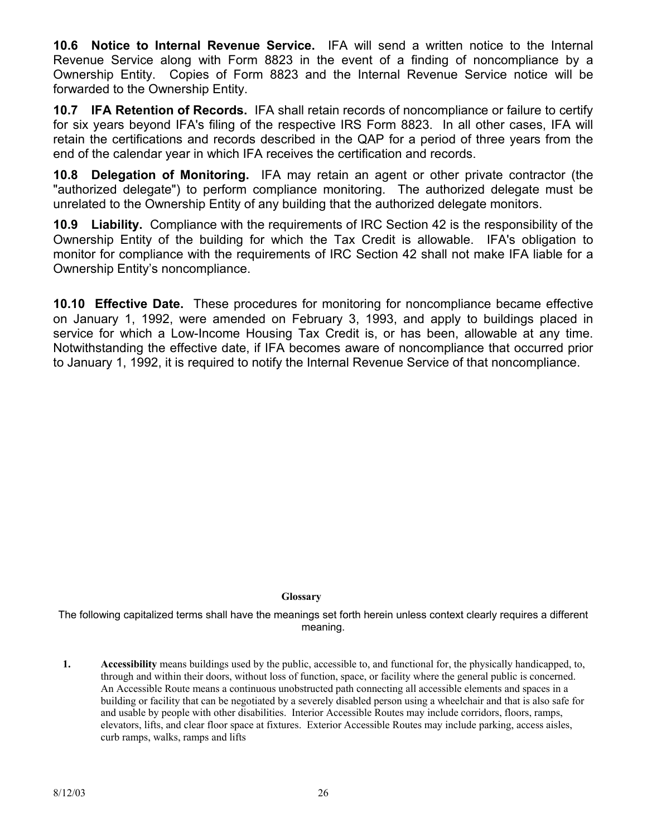**10.6 Notice to Internal Revenue Service.** IFA will send a written notice to the Internal Revenue Service along with Form 8823 in the event of a finding of noncompliance by a Ownership Entity. Copies of Form 8823 and the Internal Revenue Service notice will be forwarded to the Ownership Entity.

**10.7 IFA Retention of Records.** IFA shall retain records of noncompliance or failure to certify for six years beyond IFA's filing of the respective IRS Form 8823. In all other cases, IFA will retain the certifications and records described in the QAP for a period of three years from the end of the calendar year in which IFA receives the certification and records.

**10.8 Delegation of Monitoring.** IFA may retain an agent or other private contractor (the "authorized delegate") to perform compliance monitoring. The authorized delegate must be unrelated to the Ownership Entity of any building that the authorized delegate monitors.

**10.9 Liability.** Compliance with the requirements of IRC Section 42 is the responsibility of the Ownership Entity of the building for which the Tax Credit is allowable. IFA's obligation to monitor for compliance with the requirements of IRC Section 42 shall not make IFA liable for a Ownership Entity's noncompliance.

**10.10 Effective Date.** These procedures for monitoring for noncompliance became effective on January 1, 1992, were amended on February 3, 1993, and apply to buildings placed in service for which a Low-Income Housing Tax Credit is, or has been, allowable at any time. Notwithstanding the effective date, if IFA becomes aware of noncompliance that occurred prior to January 1, 1992, it is required to notify the Internal Revenue Service of that noncompliance.

#### **Glossary**

The following capitalized terms shall have the meanings set forth herein unless context clearly requires a different meaning.

**1. Accessibility** means buildings used by the public, accessible to, and functional for, the physically handicapped, to, through and within their doors, without loss of function, space, or facility where the general public is concerned. An Accessible Route means a continuous unobstructed path connecting all accessible elements and spaces in a building or facility that can be negotiated by a severely disabled person using a wheelchair and that is also safe for and usable by people with other disabilities. Interior Accessible Routes may include corridors, floors, ramps, elevators, lifts, and clear floor space at fixtures. Exterior Accessible Routes may include parking, access aisles, curb ramps, walks, ramps and lifts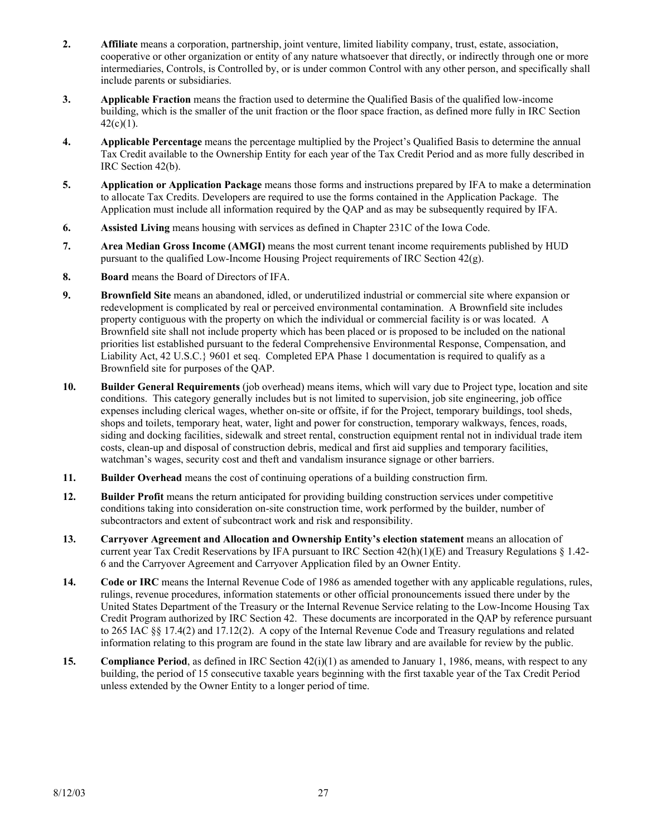- **2. Affiliate** means a corporation, partnership, joint venture, limited liability company, trust, estate, association, cooperative or other organization or entity of any nature whatsoever that directly, or indirectly through one or more intermediaries, Controls, is Controlled by, or is under common Control with any other person, and specifically shall include parents or subsidiaries.
- **3. Applicable Fraction** means the fraction used to determine the Qualified Basis of the qualified low-income building, which is the smaller of the unit fraction or the floor space fraction, as defined more fully in IRC Section  $42(c)(1)$ .
- **4. Applicable Percentage** means the percentage multiplied by the Project's Qualified Basis to determine the annual Tax Credit available to the Ownership Entity for each year of the Tax Credit Period and as more fully described in IRC Section 42(b).
- **5. Application or Application Package** means those forms and instructions prepared by IFA to make a determination to allocate Tax Credits. Developers are required to use the forms contained in the Application Package. The Application must include all information required by the QAP and as may be subsequently required by IFA.
- **6. Assisted Living** means housing with services as defined in Chapter 231C of the Iowa Code.
- **7. Area Median Gross Income (AMGI)** means the most current tenant income requirements published by HUD pursuant to the qualified Low-Income Housing Project requirements of IRC Section 42(g).
- **8. Board** means the Board of Directors of IFA.
- **9. Brownfield Site** means an abandoned, idled, or underutilized industrial or commercial site where expansion or redevelopment is complicated by real or perceived environmental contamination. A Brownfield site includes property contiguous with the property on which the individual or commercial facility is or was located. A Brownfield site shall not include property which has been placed or is proposed to be included on the national priorities list established pursuant to the federal Comprehensive Environmental Response, Compensation, and Liability Act, 42 U.S.C.} 9601 et seq. Completed EPA Phase 1 documentation is required to qualify as a Brownfield site for purposes of the QAP.
- **10. Builder General Requirements** (job overhead) means items, which will vary due to Project type, location and site conditions. This category generally includes but is not limited to supervision, job site engineering, job office expenses including clerical wages, whether on-site or offsite, if for the Project, temporary buildings, tool sheds, shops and toilets, temporary heat, water, light and power for construction, temporary walkways, fences, roads, siding and docking facilities, sidewalk and street rental, construction equipment rental not in individual trade item costs, clean-up and disposal of construction debris, medical and first aid supplies and temporary facilities, watchman's wages, security cost and theft and vandalism insurance signage or other barriers.
- **11. Builder Overhead** means the cost of continuing operations of a building construction firm.
- **12. Builder Profit** means the return anticipated for providing building construction services under competitive conditions taking into consideration on-site construction time, work performed by the builder, number of subcontractors and extent of subcontract work and risk and responsibility.
- **13. Carryover Agreement and Allocation and Ownership Entity's election statement** means an allocation of current year Tax Credit Reservations by IFA pursuant to IRC Section  $42(h)(1)(E)$  and Treasury Regulations § 1.42-6 and the Carryover Agreement and Carryover Application filed by an Owner Entity.
- **14. Code or IRC** means the Internal Revenue Code of 1986 as amended together with any applicable regulations, rules, rulings, revenue procedures, information statements or other official pronouncements issued there under by the United States Department of the Treasury or the Internal Revenue Service relating to the Low-Income Housing Tax Credit Program authorized by IRC Section 42. These documents are incorporated in the QAP by reference pursuant to 265 IAC §§ 17.4(2) and 17.12(2). A copy of the Internal Revenue Code and Treasury regulations and related information relating to this program are found in the state law library and are available for review by the public.
- **15. Compliance Period**, as defined in IRC Section 42(i)(1) as amended to January 1, 1986, means, with respect to any building, the period of 15 consecutive taxable years beginning with the first taxable year of the Tax Credit Period unless extended by the Owner Entity to a longer period of time.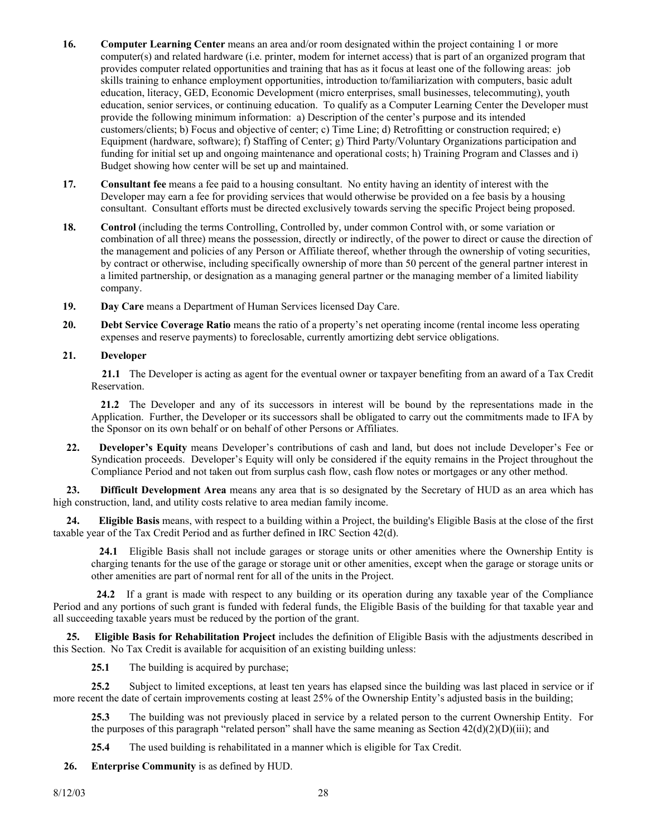- **16. Computer Learning Center** means an area and/or room designated within the project containing 1 or more computer(s) and related hardware (i.e. printer, modem for internet access) that is part of an organized program that provides computer related opportunities and training that has as it focus at least one of the following areas: job skills training to enhance employment opportunities, introduction to/familiarization with computers, basic adult education, literacy, GED, Economic Development (micro enterprises, small businesses, telecommuting), youth education, senior services, or continuing education. To qualify as a Computer Learning Center the Developer must provide the following minimum information: a) Description of the center's purpose and its intended customers/clients; b) Focus and objective of center; c) Time Line; d) Retrofitting or construction required; e) Equipment (hardware, software); f) Staffing of Center; g) Third Party/Voluntary Organizations participation and funding for initial set up and ongoing maintenance and operational costs; h) Training Program and Classes and i) Budget showing how center will be set up and maintained.
- **17. Consultant fee** means a fee paid to a housing consultant. No entity having an identity of interest with the Developer may earn a fee for providing services that would otherwise be provided on a fee basis by a housing consultant. Consultant efforts must be directed exclusively towards serving the specific Project being proposed.
- **18. Control** (including the terms Controlling, Controlled by, under common Control with, or some variation or combination of all three) means the possession, directly or indirectly, of the power to direct or cause the direction of the management and policies of any Person or Affiliate thereof, whether through the ownership of voting securities, by contract or otherwise, including specifically ownership of more than 50 percent of the general partner interest in a limited partnership, or designation as a managing general partner or the managing member of a limited liability company.
- **19. Day Care** means a Department of Human Services licensed Day Care.
- **20. Debt Service Coverage Ratio** means the ratio of a property's net operating income (rental income less operating expenses and reserve payments) to foreclosable, currently amortizing debt service obligations.
- **21. Developer**

 **21.1** The Developer is acting as agent for the eventual owner or taxpayer benefiting from an award of a Tax Credit Reservation.

 **21.2** The Developer and any of its successors in interest will be bound by the representations made in the Application. Further, the Developer or its successors shall be obligated to carry out the commitments made to IFA by the Sponsor on its own behalf or on behalf of other Persons or Affiliates.

 **22. Developer's Equity** means Developer's contributions of cash and land, but does not include Developer's Fee or Syndication proceeds. Developer's Equity will only be considered if the equity remains in the Project throughout the Compliance Period and not taken out from surplus cash flow, cash flow notes or mortgages or any other method.

 **23. Difficult Development Area** means any area that is so designated by the Secretary of HUD as an area which has high construction, land, and utility costs relative to area median family income.

 **24. Eligible Basis** means, with respect to a building within a Project, the building's Eligible Basis at the close of the first taxable year of the Tax Credit Period and as further defined in IRC Section 42(d).

 **24.1** Eligible Basis shall not include garages or storage units or other amenities where the Ownership Entity is charging tenants for the use of the garage or storage unit or other amenities, except when the garage or storage units or other amenities are part of normal rent for all of the units in the Project.

 **24.2** If a grant is made with respect to any building or its operation during any taxable year of the Compliance Period and any portions of such grant is funded with federal funds, the Eligible Basis of the building for that taxable year and all succeeding taxable years must be reduced by the portion of the grant.

 **25. Eligible Basis for Rehabilitation Project** includes the definition of Eligible Basis with the adjustments described in this Section. No Tax Credit is available for acquisition of an existing building unless:

25.1 The building is acquired by purchase;

**25.2** Subject to limited exceptions, at least ten years has elapsed since the building was last placed in service or if more recent the date of certain improvements costing at least 25% of the Ownership Entity's adjusted basis in the building;

**25.3** The building was not previously placed in service by a related person to the current Ownership Entity. For the purposes of this paragraph "related person" shall have the same meaning as Section  $42(d)(2)(D)(iii)$ ; and

**25.4** The used building is rehabilitated in a manner which is eligible for Tax Credit.

 **26. Enterprise Community** is as defined by HUD.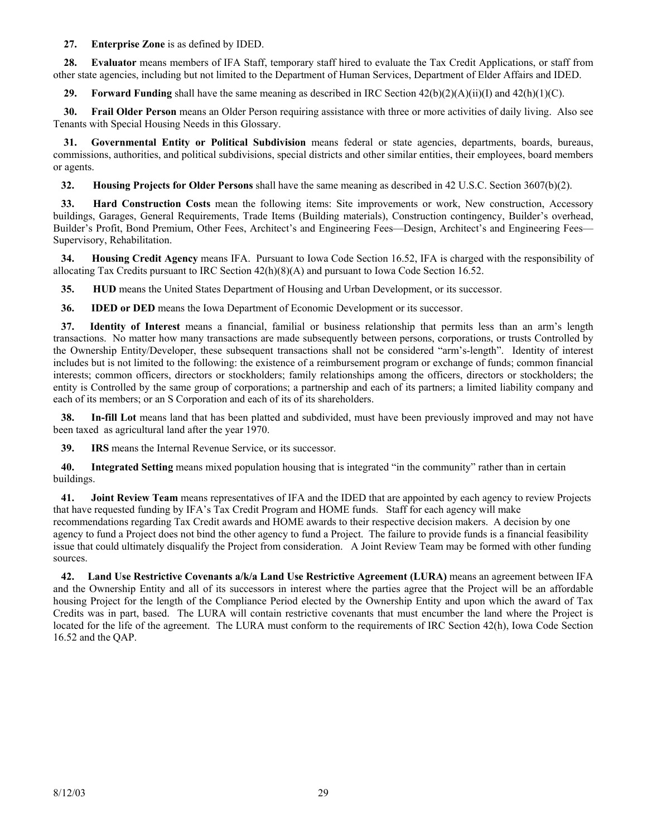#### **27. Enterprise Zone** is as defined by IDED.

 **28. Evaluator** means members of IFA Staff, temporary staff hired to evaluate the Tax Credit Applications, or staff from other state agencies, including but not limited to the Department of Human Services, Department of Elder Affairs and IDED.

**29.** Forward Funding shall have the same meaning as described in IRC Section  $42(b)(2)(A)(ii)(I)$  and  $42(h)(1)(C)$ .

 **30. Frail Older Person** means an Older Person requiring assistance with three or more activities of daily living. Also see Tenants with Special Housing Needs in this Glossary.

 **31. Governmental Entity or Political Subdivision** means federal or state agencies, departments, boards, bureaus, commissions, authorities, and political subdivisions, special districts and other similar entities, their employees, board members or agents.

 **32. Housing Projects for Older Persons** shall have the same meaning as described in 42 U.S.C. Section 3607(b)(2).

 **33. Hard Construction Costs** mean the following items: Site improvements or work, New construction, Accessory buildings, Garages, General Requirements, Trade Items (Building materials), Construction contingency, Builder's overhead, Builder's Profit, Bond Premium, Other Fees, Architect's and Engineering Fees—Design, Architect's and Engineering Fees— Supervisory, Rehabilitation.

 **34. Housing Credit Agency** means IFA. Pursuant to Iowa Code Section 16.52, IFA is charged with the responsibility of allocating Tax Credits pursuant to IRC Section 42(h)(8)(A) and pursuant to Iowa Code Section 16.52.

**35. HUD** means the United States Department of Housing and Urban Development, or its successor.

 **36. IDED or DED** means the Iowa Department of Economic Development or its successor.

 **37. Identity of Interest** means a financial, familial or business relationship that permits less than an arm's length transactions. No matter how many transactions are made subsequently between persons, corporations, or trusts Controlled by the Ownership Entity/Developer, these subsequent transactions shall not be considered "arm's-length". Identity of interest includes but is not limited to the following: the existence of a reimbursement program or exchange of funds; common financial interests; common officers, directors or stockholders; family relationships among the officers, directors or stockholders; the entity is Controlled by the same group of corporations; a partnership and each of its partners; a limited liability company and each of its members; or an S Corporation and each of its of its shareholders.

 **38. In-fill Lot** means land that has been platted and subdivided, must have been previously improved and may not have been taxed as agricultural land after the year 1970.

 **39. IRS** means the Internal Revenue Service, or its successor.

 **40. Integrated Setting** means mixed population housing that is integrated "in the community" rather than in certain buildings.

 **41. Joint Review Team** means representatives of IFA and the IDED that are appointed by each agency to review Projects that have requested funding by IFA's Tax Credit Program and HOME funds. Staff for each agency will make recommendations regarding Tax Credit awards and HOME awards to their respective decision makers. A decision by one agency to fund a Project does not bind the other agency to fund a Project. The failure to provide funds is a financial feasibility issue that could ultimately disqualify the Project from consideration. A Joint Review Team may be formed with other funding sources.

 **42. Land Use Restrictive Covenants a/k/a Land Use Restrictive Agreement (LURA)** means an agreement between IFA and the Ownership Entity and all of its successors in interest where the parties agree that the Project will be an affordable housing Project for the length of the Compliance Period elected by the Ownership Entity and upon which the award of Tax Credits was in part, based. The LURA will contain restrictive covenants that must encumber the land where the Project is located for the life of the agreement. The LURA must conform to the requirements of IRC Section 42(h), Iowa Code Section 16.52 and the QAP.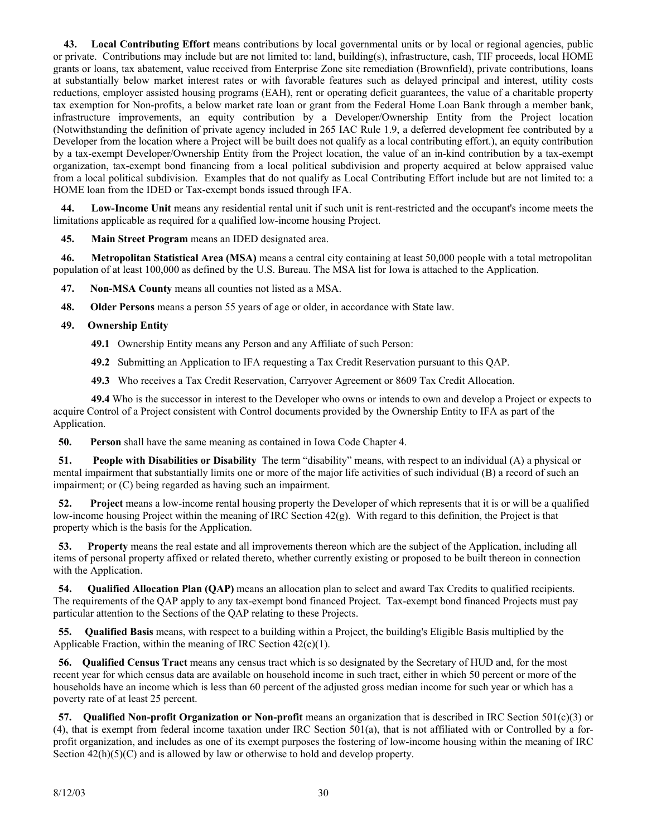**43. Local Contributing Effort** means contributions by local governmental units or by local or regional agencies, public or private. Contributions may include but are not limited to: land, building(s), infrastructure, cash, TIF proceeds, local HOME grants or loans, tax abatement, value received from Enterprise Zone site remediation (Brownfield), private contributions, loans at substantially below market interest rates or with favorable features such as delayed principal and interest, utility costs reductions, employer assisted housing programs (EAH), rent or operating deficit guarantees, the value of a charitable property tax exemption for Non-profits, a below market rate loan or grant from the Federal Home Loan Bank through a member bank, infrastructure improvements, an equity contribution by a Developer/Ownership Entity from the Project location (Notwithstanding the definition of private agency included in 265 IAC Rule 1.9, a deferred development fee contributed by a Developer from the location where a Project will be built does not qualify as a local contributing effort.), an equity contribution by a tax-exempt Developer/Ownership Entity from the Project location, the value of an in-kind contribution by a tax-exempt organization, tax-exempt bond financing from a local political subdivision and property acquired at below appraised value from a local political subdivision. Examples that do not qualify as Local Contributing Effort include but are not limited to: a HOME loan from the IDED or Tax-exempt bonds issued through IFA.

 **44. Low-Income Unit** means any residential rental unit if such unit is rent-restricted and the occupant's income meets the limitations applicable as required for a qualified low-income housing Project.

 **45. Main Street Program** means an IDED designated area.

 **46. Metropolitan Statistical Area (MSA)** means a central city containing at least 50,000 people with a total metropolitan population of at least 100,000 as defined by the U.S. Bureau. The MSA list for Iowa is attached to the Application.

 **47. Non-MSA County** means all counties not listed as a MSA.

 **48. Older Persons** means a person 55 years of age or older, in accordance with State law.

#### **49. Ownership Entity**

- **49.1** Ownership Entity means any Person and any Affiliate of such Person:
- **49.2** Submitting an Application to IFA requesting a Tax Credit Reservation pursuant to this QAP.
- **49.3** Who receives a Tax Credit Reservation, Carryover Agreement or 8609 Tax Credit Allocation.

**49.4** Who is the successor in interest to the Developer who owns or intends to own and develop a Project or expects to acquire Control of a Project consistent with Control documents provided by the Ownership Entity to IFA as part of the Application.

 **50. Person** shall have the same meaning as contained in Iowa Code Chapter 4.

 **51. People with Disabilities or Disability** The term "disability" means, with respect to an individual (A) a physical or mental impairment that substantially limits one or more of the major life activities of such individual (B) a record of such an impairment; or (C) being regarded as having such an impairment.

 **52. Project** means a low-income rental housing property the Developer of which represents that it is or will be a qualified low-income housing Project within the meaning of IRC Section 42(g). With regard to this definition, the Project is that property which is the basis for the Application.

 **53. Property** means the real estate and all improvements thereon which are the subject of the Application, including all items of personal property affixed or related thereto, whether currently existing or proposed to be built thereon in connection with the Application.

 **54. Qualified Allocation Plan (QAP)** means an allocation plan to select and award Tax Credits to qualified recipients. The requirements of the QAP apply to any tax-exempt bond financed Project. Tax-exempt bond financed Projects must pay particular attention to the Sections of the QAP relating to these Projects.

 **55. Qualified Basis** means, with respect to a building within a Project, the building's Eligible Basis multiplied by the Applicable Fraction, within the meaning of IRC Section  $42(c)(1)$ .

 **56. Qualified Census Tract** means any census tract which is so designated by the Secretary of HUD and, for the most recent year for which census data are available on household income in such tract, either in which 50 percent or more of the households have an income which is less than 60 percent of the adjusted gross median income for such year or which has a poverty rate of at least 25 percent.

 **57. Qualified Non-profit Organization or Non-profit** means an organization that is described in IRC Section 501(c)(3) or (4), that is exempt from federal income taxation under IRC Section 501(a), that is not affiliated with or Controlled by a forprofit organization, and includes as one of its exempt purposes the fostering of low-income housing within the meaning of IRC Section  $42(h)(5)(C)$  and is allowed by law or otherwise to hold and develop property.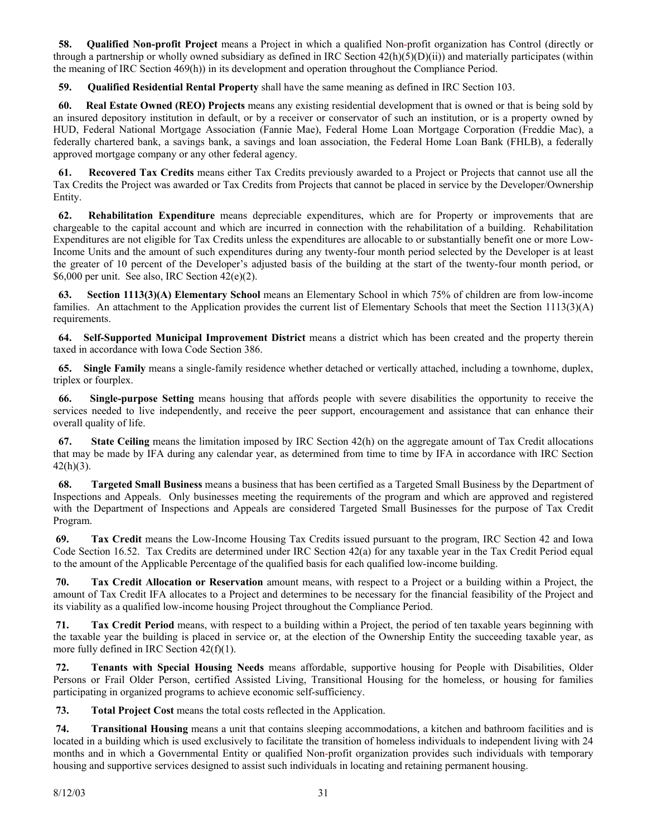**58. Qualified Non-profit Project** means a Project in which a qualified Non-profit organization has Control (directly or through a partnership or wholly owned subsidiary as defined in IRC Section  $42(h)(5)(D)(ii)$  and materially participates (within the meaning of IRC Section 469(h)) in its development and operation throughout the Compliance Period.

 **59. Qualified Residential Rental Property** shall have the same meaning as defined in IRC Section 103.

 **60. Real Estate Owned (REO) Projects** means any existing residential development that is owned or that is being sold by an insured depository institution in default, or by a receiver or conservator of such an institution, or is a property owned by HUD, Federal National Mortgage Association (Fannie Mae), Federal Home Loan Mortgage Corporation (Freddie Mac), a federally chartered bank, a savings bank, a savings and loan association, the Federal Home Loan Bank (FHLB), a federally approved mortgage company or any other federal agency.

 **61. Recovered Tax Credits** means either Tax Credits previously awarded to a Project or Projects that cannot use all the Tax Credits the Project was awarded or Tax Credits from Projects that cannot be placed in service by the Developer/Ownership Entity.

 **62. Rehabilitation Expenditure** means depreciable expenditures, which are for Property or improvements that are chargeable to the capital account and which are incurred in connection with the rehabilitation of a building. Rehabilitation Expenditures are not eligible for Tax Credits unless the expenditures are allocable to or substantially benefit one or more Low-Income Units and the amount of such expenditures during any twenty-four month period selected by the Developer is at least the greater of 10 percent of the Developer's adjusted basis of the building at the start of the twenty-four month period, or \$6,000 per unit. See also, IRC Section 42(e)(2).

 **63. Section 1113(3)(A) Elementary School** means an Elementary School in which 75% of children are from low-income families. An attachment to the Application provides the current list of Elementary Schools that meet the Section  $1113(3)(A)$ requirements.

 **64. Self-Supported Municipal Improvement District** means a district which has been created and the property therein taxed in accordance with Iowa Code Section 386.

 **65. Single Family** means a single-family residence whether detached or vertically attached, including a townhome, duplex, triplex or fourplex.

 **66. Single-purpose Setting** means housing that affords people with severe disabilities the opportunity to receive the services needed to live independently, and receive the peer support, encouragement and assistance that can enhance their overall quality of life.

 **67. State Ceiling** means the limitation imposed by IRC Section 42(h) on the aggregate amount of Tax Credit allocations that may be made by IFA during any calendar year, as determined from time to time by IFA in accordance with IRC Section  $42(h)(3)$ .

 **68. Targeted Small Business** means a business that has been certified as a Targeted Small Business by the Department of Inspections and Appeals. Only businesses meeting the requirements of the program and which are approved and registered with the Department of Inspections and Appeals are considered Targeted Small Businesses for the purpose of Tax Credit Program.

 **69. Tax Credit** means the Low-Income Housing Tax Credits issued pursuant to the program, IRC Section 42 and Iowa Code Section 16.52. Tax Credits are determined under IRC Section 42(a) for any taxable year in the Tax Credit Period equal to the amount of the Applicable Percentage of the qualified basis for each qualified low-income building.

 **70. Tax Credit Allocation or Reservation** amount means, with respect to a Project or a building within a Project, the amount of Tax Credit IFA allocates to a Project and determines to be necessary for the financial feasibility of the Project and its viability as a qualified low-income housing Project throughout the Compliance Period.

**71.** Tax Credit Period means, with respect to a building within a Project, the period of ten taxable years beginning with the taxable year the building is placed in service or, at the election of the Ownership Entity the succeeding taxable year, as more fully defined in IRC Section 42(f)(1).

 **72. Tenants with Special Housing Needs** means affordable, supportive housing for People with Disabilities, Older Persons or Frail Older Person, certified Assisted Living, Transitional Housing for the homeless, or housing for families participating in organized programs to achieve economic self-sufficiency.

 **73. Total Project Cost** means the total costs reflected in the Application.

 **74. Transitional Housing** means a unit that contains sleeping accommodations, a kitchen and bathroom facilities and is located in a building which is used exclusively to facilitate the transition of homeless individuals to independent living with 24 months and in which a Governmental Entity or qualified Non-profit organization provides such individuals with temporary housing and supportive services designed to assist such individuals in locating and retaining permanent housing.